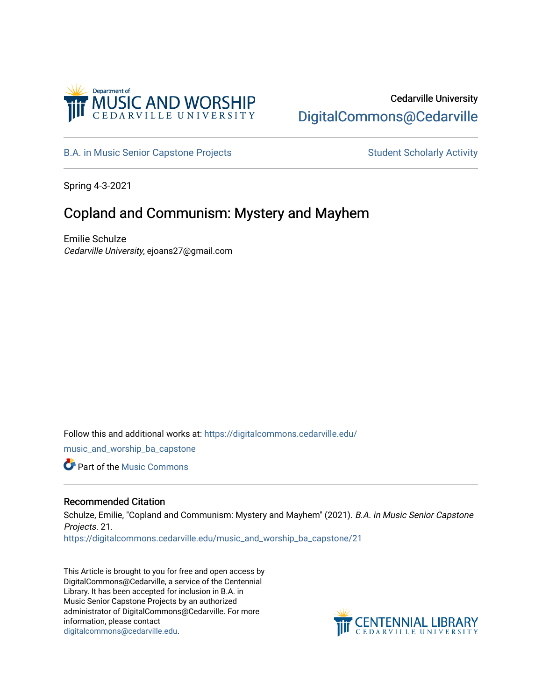

# Cedarville University [DigitalCommons@Cedarville](https://digitalcommons.cedarville.edu/)

[B.A. in Music Senior Capstone Projects](https://digitalcommons.cedarville.edu/music_and_worship_ba_capstone) Student Scholarly Activity

Spring 4-3-2021

# Copland and Communism: Mystery and Mayhem

Emilie Schulze Cedarville University, ejoans27@gmail.com

Follow this and additional works at: [https://digitalcommons.cedarville.edu/](https://digitalcommons.cedarville.edu/music_and_worship_ba_capstone?utm_source=digitalcommons.cedarville.edu%2Fmusic_and_worship_ba_capstone%2F21&utm_medium=PDF&utm_campaign=PDFCoverPages) [music\\_and\\_worship\\_ba\\_capstone](https://digitalcommons.cedarville.edu/music_and_worship_ba_capstone?utm_source=digitalcommons.cedarville.edu%2Fmusic_and_worship_ba_capstone%2F21&utm_medium=PDF&utm_campaign=PDFCoverPages)

**C** Part of the Music Commons

# Recommended Citation

Schulze, Emilie, "Copland and Communism: Mystery and Mayhem" (2021). B.A. in Music Senior Capstone Projects. 21.

[https://digitalcommons.cedarville.edu/music\\_and\\_worship\\_ba\\_capstone/21](https://digitalcommons.cedarville.edu/music_and_worship_ba_capstone/21?utm_source=digitalcommons.cedarville.edu%2Fmusic_and_worship_ba_capstone%2F21&utm_medium=PDF&utm_campaign=PDFCoverPages)

This Article is brought to you for free and open access by DigitalCommons@Cedarville, a service of the Centennial Library. It has been accepted for inclusion in B.A. in Music Senior Capstone Projects by an authorized administrator of DigitalCommons@Cedarville. For more information, please contact [digitalcommons@cedarville.edu](mailto:digitalcommons@cedarville.edu).

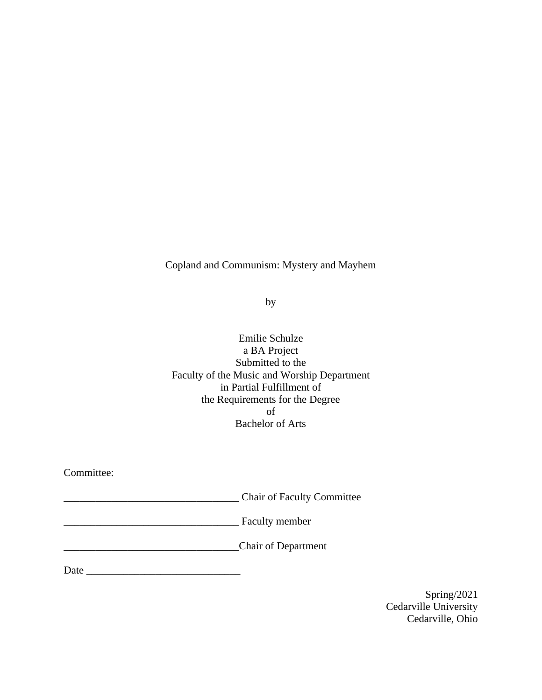# Copland and Communism: Mystery and Mayhem

by

Emilie Schulze a BA Project Submitted to the Faculty of the Music and Worship Department in Partial Fulfillment of the Requirements for the Degree of Bachelor of Arts

Committee:

\_\_\_\_\_\_\_\_\_\_\_\_\_\_\_\_\_\_\_\_\_\_\_\_\_\_\_\_\_\_\_\_\_ Chair of Faculty Committee

\_\_\_\_\_\_\_\_\_\_\_\_\_\_\_\_\_\_\_\_\_\_\_\_\_\_\_\_\_\_\_\_\_ Faculty member

\_\_\_\_\_\_\_\_\_\_\_\_\_\_\_\_\_\_\_\_\_\_\_\_\_\_\_\_\_\_\_\_\_Chair of Department

Date \_\_\_\_\_\_\_\_\_\_\_\_\_\_\_\_\_\_\_\_\_\_\_\_\_\_\_\_\_

Spring/2021 Cedarville University Cedarville, Ohio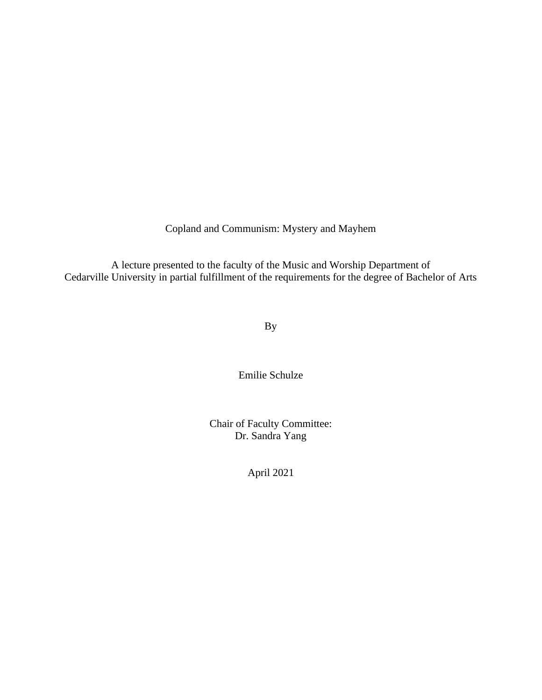Copland and Communism: Mystery and Mayhem

A lecture presented to the faculty of the Music and Worship Department of Cedarville University in partial fulfillment of the requirements for the degree of Bachelor of Arts

By

Emilie Schulze

Chair of Faculty Committee: Dr. Sandra Yang

April 2021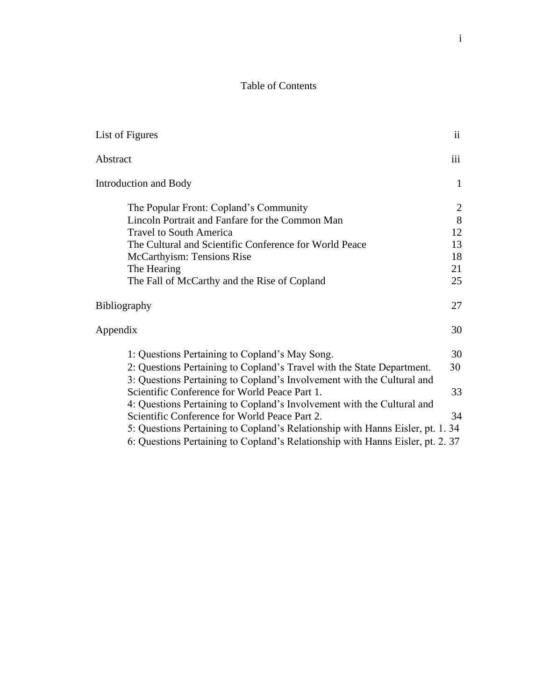# Table of Contents

| List of Figures                                                                | ii  |
|--------------------------------------------------------------------------------|-----|
| Abstract                                                                       | iii |
| <b>Introduction and Body</b>                                                   | 1   |
| The Popular Front: Copland's Community                                         | 2   |
| Lincoln Portrait and Fanfare for the Common Man                                | 8   |
| <b>Travel to South America</b>                                                 | 12  |
| The Cultural and Scientific Conference for World Peace                         | 13  |
| McCarthyism: Tensions Rise                                                     | 18  |
| The Hearing                                                                    | 21  |
| The Fall of McCarthy and the Rise of Copland                                   | 25  |
| Bibliography                                                                   | 27  |
| Appendix                                                                       | 30  |
| 1: Questions Pertaining to Copland's May Song.                                 | 30  |
| 2: Questions Pertaining to Copland's Travel with the State Department.         | 30  |
| 3: Questions Pertaining to Copland's Involvement with the Cultural and         |     |
| Scientific Conference for World Peace Part 1.                                  | 33  |
| 4: Questions Pertaining to Copland's Involvement with the Cultural and         |     |
| Scientific Conference for World Peace Part 2.                                  | 34  |
| 5: Questions Pertaining to Copland's Relationship with Hanns Eisler, pt. 1. 34 |     |
| 6: Questions Pertaining to Copland's Relationship with Hanns Eisler, pt. 2. 37 |     |
|                                                                                |     |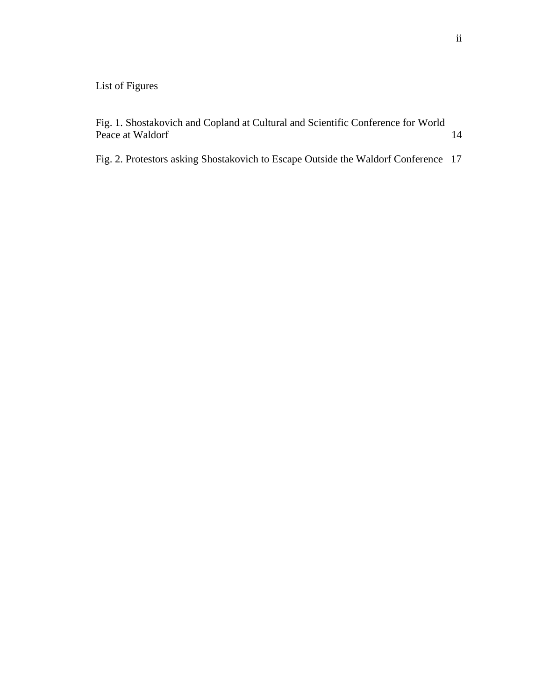# List of Figures

Fig. 1. Shostakovich and Copland at Cultural and Scientific Conference for World Peace at Waldorf 14

Fig. 2. Protestors asking Shostakovich to Escape Outside the Waldorf Conference 17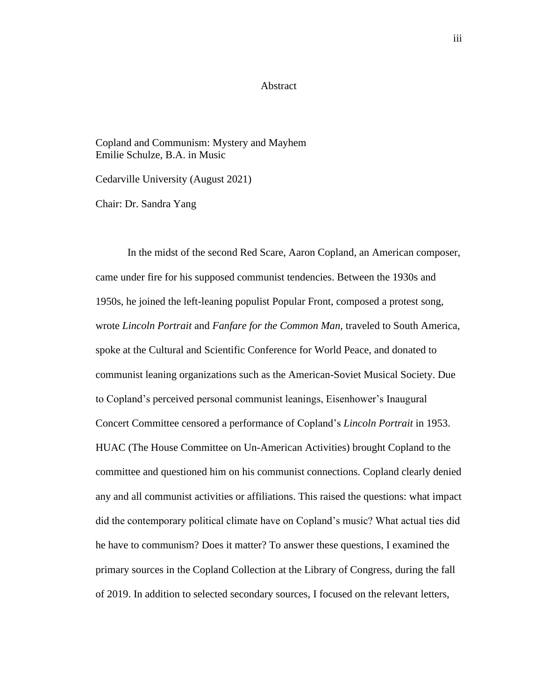#### Abstract

Copland and Communism: Mystery and Mayhem Emilie Schulze, B.A. in Music

Cedarville University (August 2021)

Chair: Dr. Sandra Yang

In the midst of the second Red Scare, Aaron Copland, an American composer, came under fire for his supposed communist tendencies. Between the 1930s and 1950s, he joined the left-leaning populist Popular Front, composed a protest song, wrote *Lincoln Portrait* and *Fanfare for the Common Man,* traveled to South America, spoke at the Cultural and Scientific Conference for World Peace, and donated to communist leaning organizations such as the American-Soviet Musical Society. Due to Copland's perceived personal communist leanings, Eisenhower's Inaugural Concert Committee censored a performance of Copland's *Lincoln Portrait* in 1953. HUAC (The House Committee on Un-American Activities) brought Copland to the committee and questioned him on his communist connections. Copland clearly denied any and all communist activities or affiliations. This raised the questions: what impact did the contemporary political climate have on Copland's music? What actual ties did he have to communism? Does it matter? To answer these questions, I examined the primary sources in the Copland Collection at the Library of Congress, during the fall of 2019. In addition to selected secondary sources, I focused on the relevant letters,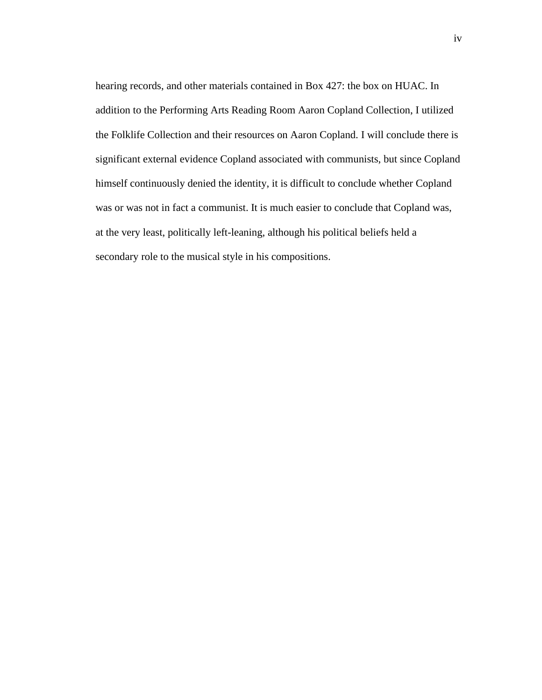hearing records, and other materials contained in Box 427: the box on HUAC. In addition to the Performing Arts Reading Room Aaron Copland Collection, I utilized the Folklife Collection and their resources on Aaron Copland. I will conclude there is significant external evidence Copland associated with communists, but since Copland himself continuously denied the identity, it is difficult to conclude whether Copland was or was not in fact a communist. It is much easier to conclude that Copland was, at the very least, politically left-leaning, although his political beliefs held a secondary role to the musical style in his compositions.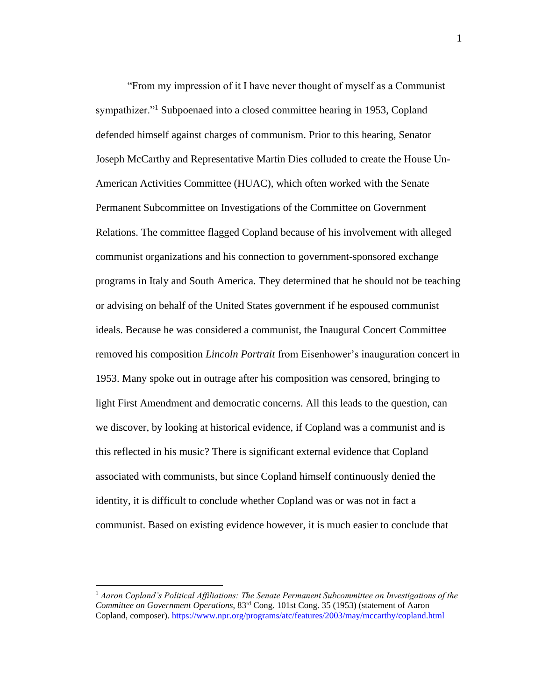"From my impression of it I have never thought of myself as a Communist sympathizer."<sup>1</sup> Subpoenaed into a closed committee hearing in 1953, Copland defended himself against charges of communism. Prior to this hearing, Senator Joseph McCarthy and Representative Martin Dies colluded to create the House Un-American Activities Committee (HUAC), which often worked with the Senate Permanent Subcommittee on Investigations of the Committee on Government Relations. The committee flagged Copland because of his involvement with alleged communist organizations and his connection to government-sponsored exchange programs in Italy and South America. They determined that he should not be teaching or advising on behalf of the United States government if he espoused communist ideals. Because he was considered a communist, the Inaugural Concert Committee removed his composition *Lincoln Portrait* from Eisenhower's inauguration concert in 1953. Many spoke out in outrage after his composition was censored, bringing to light First Amendment and democratic concerns. All this leads to the question, can we discover, by looking at historical evidence, if Copland was a communist and is this reflected in his music? There is significant external evidence that Copland associated with communists, but since Copland himself continuously denied the identity, it is difficult to conclude whether Copland was or was not in fact a communist. Based on existing evidence however, it is much easier to conclude that

<sup>1</sup> *Aaron Copland's Political Affiliations: The Senate Permanent Subcommittee on Investigations of the Committee on Government Operations*, 83rd Cong. 101st Cong. 35 (1953) (statement of Aaron Copland, composer).<https://www.npr.org/programs/atc/features/2003/may/mccarthy/copland.html>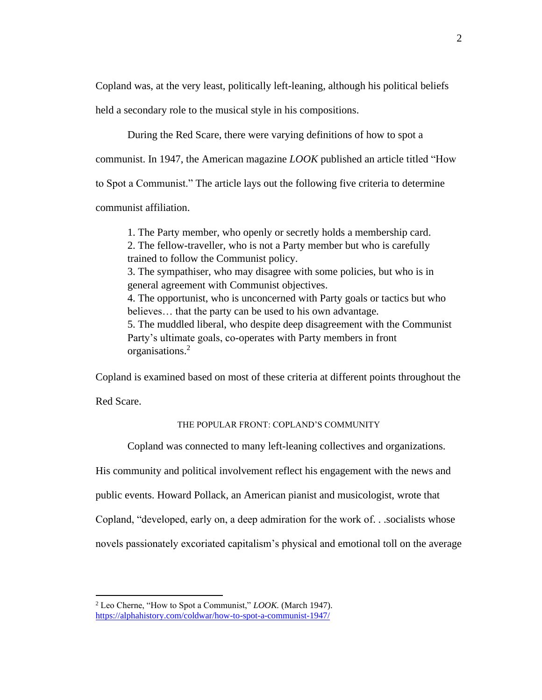Copland was, at the very least, politically left-leaning, although his political beliefs

held a secondary role to the musical style in his compositions.

During the Red Scare, there were varying definitions of how to spot a

communist. In 1947, the American magazine *LOOK* published an article titled "How

to Spot a Communist." The article lays out the following five criteria to determine

communist affiliation.

1. The Party member, who openly or secretly holds a membership card. 2. The fellow-traveller, who is not a Party member but who is carefully trained to follow the Communist policy.

3. The sympathiser, who may disagree with some policies, but who is in general agreement with Communist objectives.

4. The opportunist, who is unconcerned with Party goals or tactics but who believes… that the party can be used to his own advantage.

5. The muddled liberal, who despite deep disagreement with the Communist Party's ultimate goals, co-operates with Party members in front organisations.<sup>2</sup>

Copland is examined based on most of these criteria at different points throughout the

Red Scare.

## THE POPULAR FRONT: COPLAND'S COMMUNITY

Copland was connected to many left-leaning collectives and organizations.

His community and political involvement reflect his engagement with the news and

public events. Howard Pollack, an American pianist and musicologist, wrote that

Copland, "developed, early on, a deep admiration for the work of. . .socialists whose

novels passionately excoriated capitalism's physical and emotional toll on the average

<sup>2</sup> Leo Cherne, "How to Spot a Communist," *LOOK.* (March 1947). <https://alphahistory.com/coldwar/how-to-spot-a-communist-1947/>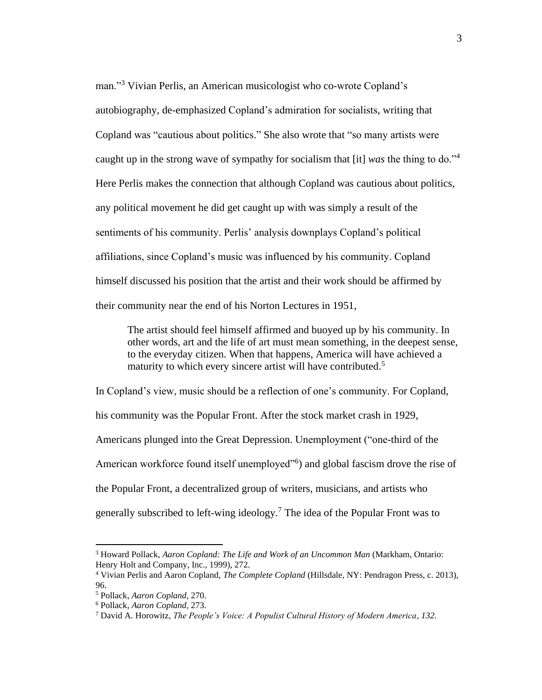man."<sup>3</sup> Vivian Perlis, an American musicologist who co-wrote Copland's autobiography, de-emphasized Copland's admiration for socialists, writing that Copland was "cautious about politics." She also wrote that "so many artists were caught up in the strong wave of sympathy for socialism that [it] *was* the thing to do."<sup>4</sup> Here Perlis makes the connection that although Copland was cautious about politics, any political movement he did get caught up with was simply a result of the sentiments of his community. Perlis' analysis downplays Copland's political affiliations, since Copland's music was influenced by his community. Copland himself discussed his position that the artist and their work should be affirmed by their community near the end of his Norton Lectures in 1951,

The artist should feel himself affirmed and buoyed up by his community. In other words, art and the life of art must mean something, in the deepest sense, to the everyday citizen. When that happens, America will have achieved a maturity to which every sincere artist will have contributed.<sup>5</sup>

In Copland's view, music should be a reflection of one's community. For Copland, his community was the Popular Front. After the stock market crash in 1929, Americans plunged into the Great Depression. Unemployment ("one-third of the American workforce found itself unemployed"<sup>6</sup>) and global fascism drove the rise of the Popular Front, a decentralized group of writers, musicians, and artists who generally subscribed to left-wing ideology.<sup>7</sup> The idea of the Popular Front was to

<sup>3</sup> Howard Pollack, *Aaron Copland: The Life and Work of an Uncommon Man* (Markham, Ontario: Henry Holt and Company, Inc., 1999), 272.

<sup>4</sup> Vivian Perlis and Aaron Copland, *The Complete Copland* (Hillsdale, NY: Pendragon Press, c. 2013), 96.

<sup>5</sup> Pollack, *Aaron Copland*, 270.

<sup>6</sup> Pollack, *Aaron Copland*, 273.

<sup>7</sup> David A. Horowitz, *The People's Voice: A Populist Cultural History of Modern America, 132.*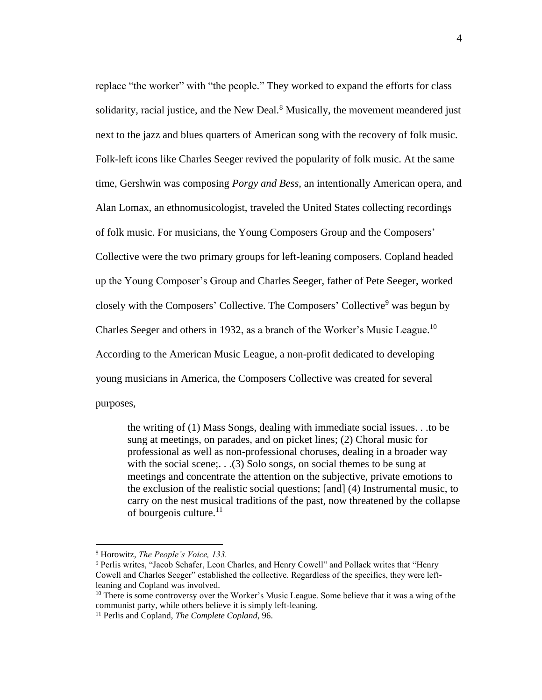replace "the worker" with "the people." They worked to expand the efforts for class solidarity, racial justice, and the New Deal. $8$  Musically, the movement meandered just next to the jazz and blues quarters of American song with the recovery of folk music. Folk-left icons like Charles Seeger revived the popularity of folk music. At the same time, Gershwin was composing *Porgy and Bess,* an intentionally American opera, and Alan Lomax, an ethnomusicologist, traveled the United States collecting recordings of folk music. For musicians, the Young Composers Group and the Composers' Collective were the two primary groups for left-leaning composers. Copland headed up the Young Composer's Group and Charles Seeger, father of Pete Seeger, worked closely with the Composers' Collective. The Composers' Collective<sup>9</sup> was begun by Charles Seeger and others in 1932, as a branch of the Worker's Music League.<sup>10</sup> According to the American Music League, a non-profit dedicated to developing young musicians in America, the Composers Collective was created for several purposes,

the writing of (1) Mass Songs, dealing with immediate social issues. . .to be sung at meetings, on parades, and on picket lines; (2) Choral music for professional as well as non-professional choruses, dealing in a broader way with the social scene;... (3) Solo songs, on social themes to be sung at meetings and concentrate the attention on the subjective, private emotions to the exclusion of the realistic social questions; [and] (4) Instrumental music, to carry on the nest musical traditions of the past, now threatened by the collapse of bourgeois culture.<sup>11</sup>

<sup>8</sup> Horowitz, *The People's Voice, 133.*

<sup>9</sup> Perlis writes, "Jacob Schafer, Leon Charles, and Henry Cowell" and Pollack writes that "Henry Cowell and Charles Seeger" established the collective. Regardless of the specifics, they were leftleaning and Copland was involved.

<sup>&</sup>lt;sup>10</sup> There is some controversy over the Worker's Music League. Some believe that it was a wing of the communist party, while others believe it is simply left-leaning.

<sup>11</sup> Perlis and Copland, *The Complete Copland*, 96.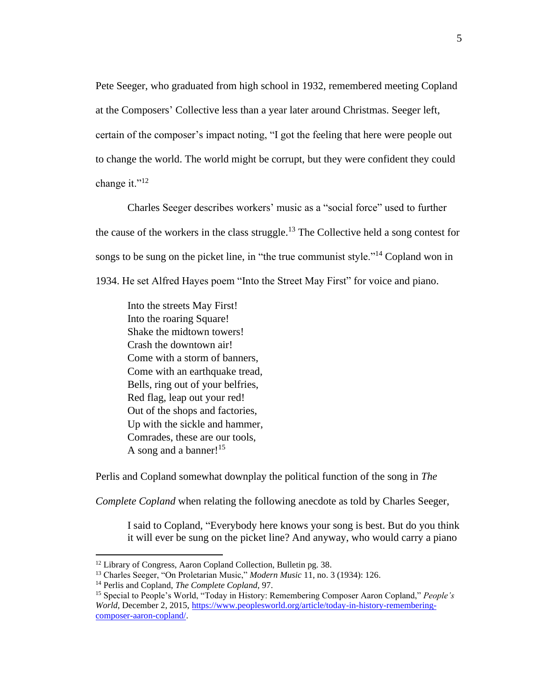Pete Seeger, who graduated from high school in 1932, remembered meeting Copland at the Composers' Collective less than a year later around Christmas. Seeger left, certain of the composer's impact noting, "I got the feeling that here were people out to change the world. The world might be corrupt, but they were confident they could change it." $^{12}$ 

Charles Seeger describes workers' music as a "social force" used to further the cause of the workers in the class struggle.<sup>13</sup> The Collective held a song contest for songs to be sung on the picket line, in "the true communist style."<sup>14</sup> Copland won in 1934. He set Alfred Hayes poem "Into the Street May First" for voice and piano.

Into the streets May First! Into the roaring Square! Shake the midtown towers! Crash the downtown air! Come with a storm of banners, Come with an earthquake tread, Bells, ring out of your belfries, Red flag, leap out your red! Out of the shops and factories, Up with the sickle and hammer, Comrades, these are our tools, A song and a banner!<sup>15</sup>

Perlis and Copland somewhat downplay the political function of the song in *The* 

*Complete Copland* when relating the following anecdote as told by Charles Seeger,

I said to Copland, "Everybody here knows your song is best. But do you think it will ever be sung on the picket line? And anyway, who would carry a piano

<sup>&</sup>lt;sup>12</sup> Library of Congress, Aaron Copland Collection, Bulletin pg. 38.

<sup>13</sup> Charles Seeger, "On Proletarian Music," *Modern Music* 11, no. 3 (1934): 126.

<sup>14</sup> Perlis and Copland, *The Complete Copland*, 97.

<sup>15</sup> Special to People's World, "Today in History: Remembering Composer Aaron Copland," *People's World*, December 2, 2015[, https://www.peoplesworld.org/article/today-in-history-remembering](https://www.peoplesworld.org/article/today-in-history-remembering-composer-aaron-copland/)[composer-aaron-copland/.](https://www.peoplesworld.org/article/today-in-history-remembering-composer-aaron-copland/)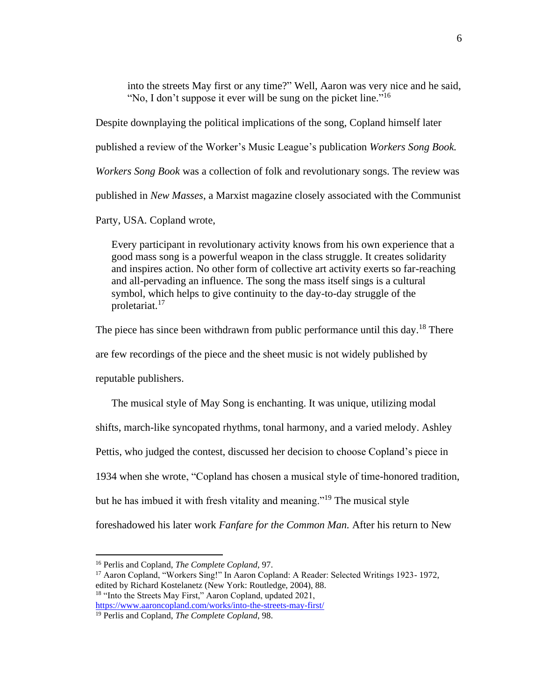into the streets May first or any time?" Well, Aaron was very nice and he said, "No, I don't suppose it ever will be sung on the picket line."<sup>16</sup>

Despite downplaying the political implications of the song, Copland himself later published a review of the Worker's Music League's publication *Workers Song Book. Workers Song Book* was a collection of folk and revolutionary songs. The review was published in *New Masses*, a Marxist magazine closely associated with the Communist Party, USA*.* Copland wrote,

Every participant in revolutionary activity knows from his own experience that a good mass song is a powerful weapon in the class struggle. It creates solidarity and inspires action. No other form of collective art activity exerts so far-reaching and all-pervading an influence. The song the mass itself sings is a cultural symbol, which helps to give continuity to the day-to-day struggle of the proletariat.<sup>17</sup>

The piece has since been withdrawn from public performance until this day.<sup>18</sup> There are few recordings of the piece and the sheet music is not widely published by reputable publishers.

The musical style of May Song is enchanting. It was unique, utilizing modal shifts, march-like syncopated rhythms, tonal harmony, and a varied melody. Ashley Pettis, who judged the contest, discussed her decision to choose Copland's piece in 1934 when she wrote, "Copland has chosen a musical style of time-honored tradition, but he has imbued it with fresh vitality and meaning."<sup>19</sup> The musical style foreshadowed his later work *Fanfare for the Common Man.* After his return to New

<sup>16</sup> Perlis and Copland, *The Complete Copland*, 97.

<sup>&</sup>lt;sup>17</sup> Aaron Copland, "Workers Sing!" In Aaron Copland: A Reader: Selected Writings 1923-1972, edited by Richard Kostelanetz (New York: Routledge, 2004), 88. <sup>18</sup> "Into the Streets May First," Aaron Copland, updated 2021, <https://www.aaroncopland.com/works/into-the-streets-may-first/>

<sup>19</sup> Perlis and Copland, *The Complete Copland*, 98.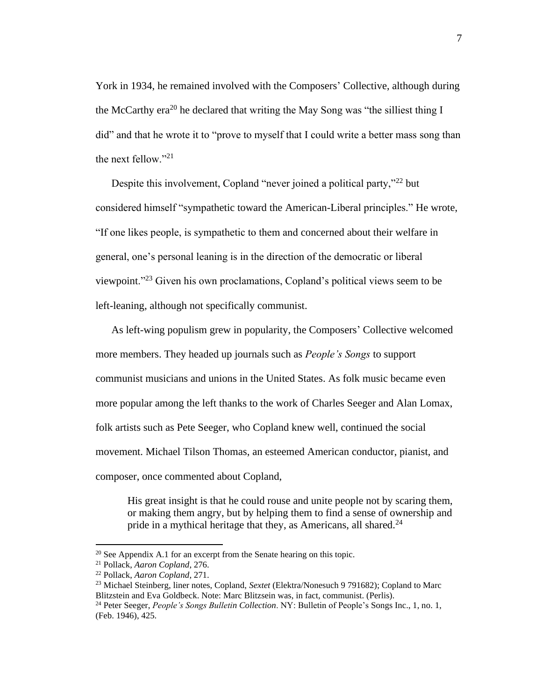York in 1934, he remained involved with the Composers' Collective, although during the McCarthy era<sup>20</sup> he declared that writing the May Song was "the silliest thing I did" and that he wrote it to "prove to myself that I could write a better mass song than the next fellow." $^{21}$ 

Despite this involvement, Copland "never joined a political party,"<sup>22</sup> but considered himself "sympathetic toward the American-Liberal principles." He wrote, "If one likes people, is sympathetic to them and concerned about their welfare in general, one's personal leaning is in the direction of the democratic or liberal viewpoint."<sup>23</sup> Given his own proclamations, Copland's political views seem to be left-leaning, although not specifically communist.

As left-wing populism grew in popularity, the Composers' Collective welcomed more members. They headed up journals such as *People's Songs* to support communist musicians and unions in the United States. As folk music became even more popular among the left thanks to the work of Charles Seeger and Alan Lomax, folk artists such as Pete Seeger, who Copland knew well, continued the social movement. Michael Tilson Thomas, an esteemed American conductor, pianist, and composer, once commented about Copland,

His great insight is that he could rouse and unite people not by scaring them, or making them angry, but by helping them to find a sense of ownership and pride in a mythical heritage that they, as Americans, all shared. $24$ 

 $20$  See Appendix A.1 for an excerpt from the Senate hearing on this topic.

<sup>21</sup> Pollack, *Aaron Copland*, 276.

<sup>22</sup> Pollack, *Aaron Copland*, 271.

<sup>23</sup> Michael Steinberg, liner notes, Copland, *Sextet* (Elektra/Nonesuch 9 791682); Copland to Marc Blitzstein and Eva Goldbeck. Note: Marc Blitzsein was, in fact, communist. (Perlis).

<sup>24</sup> Peter Seeger, *People's Songs Bulletin Collection*. NY: Bulletin of People's Songs Inc., 1, no. 1, (Feb. 1946), 425.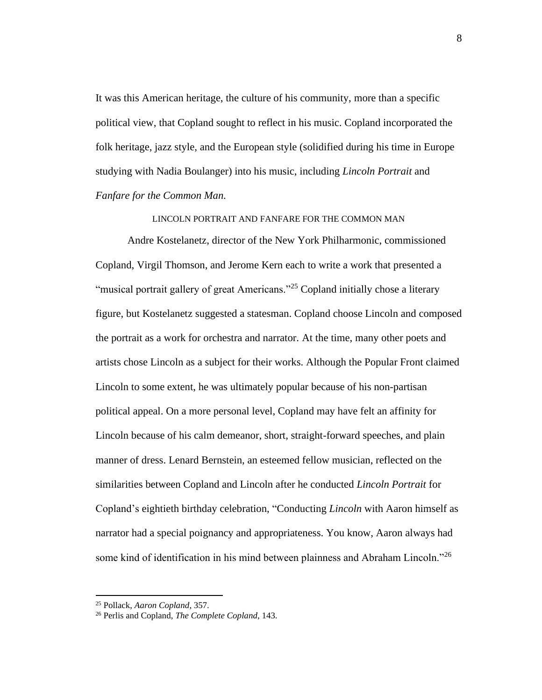It was this American heritage, the culture of his community, more than a specific political view, that Copland sought to reflect in his music. Copland incorporated the folk heritage, jazz style, and the European style (solidified during his time in Europe studying with Nadia Boulanger) into his music, including *Lincoln Portrait* and *Fanfare for the Common Man.* 

LINCOLN PORTRAIT AND FANFARE FOR THE COMMON MAN

Andre Kostelanetz, director of the New York Philharmonic, commissioned Copland, Virgil Thomson, and Jerome Kern each to write a work that presented a "musical portrait gallery of great Americans."<sup>25</sup> Copland initially chose a literary figure, but Kostelanetz suggested a statesman. Copland choose Lincoln and composed the portrait as a work for orchestra and narrator. At the time, many other poets and artists chose Lincoln as a subject for their works. Although the Popular Front claimed Lincoln to some extent, he was ultimately popular because of his non-partisan political appeal. On a more personal level, Copland may have felt an affinity for Lincoln because of his calm demeanor, short, straight-forward speeches, and plain manner of dress. Lenard Bernstein, an esteemed fellow musician, reflected on the similarities between Copland and Lincoln after he conducted *Lincoln Portrait* for Copland's eightieth birthday celebration, "Conducting *Lincoln* with Aaron himself as narrator had a special poignancy and appropriateness. You know, Aaron always had some kind of identification in his mind between plainness and Abraham Lincoln."<sup>26</sup>

<sup>25</sup> Pollack, *Aaron Copland*, 357.

<sup>26</sup> Perlis and Copland, *The Complete Copland*, 143.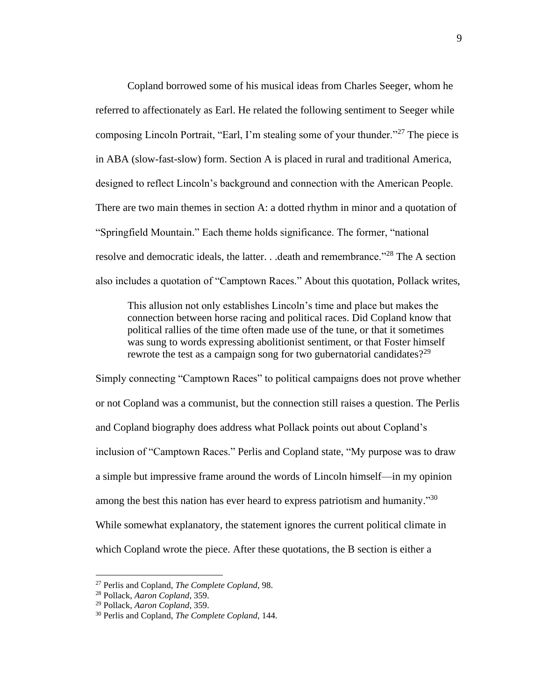Copland borrowed some of his musical ideas from Charles Seeger, whom he referred to affectionately as Earl. He related the following sentiment to Seeger while composing Lincoln Portrait, "Earl, I'm stealing some of your thunder."<sup>27</sup> The piece is in ABA (slow-fast-slow) form. Section A is placed in rural and traditional America, designed to reflect Lincoln's background and connection with the American People. There are two main themes in section A: a dotted rhythm in minor and a quotation of "Springfield Mountain." Each theme holds significance. The former, "national resolve and democratic ideals, the latter. . .death and remembrance."<sup>28</sup> The A section also includes a quotation of "Camptown Races." About this quotation, Pollack writes,

This allusion not only establishes Lincoln's time and place but makes the connection between horse racing and political races. Did Copland know that political rallies of the time often made use of the tune, or that it sometimes was sung to words expressing abolitionist sentiment, or that Foster himself rewrote the test as a campaign song for two gubernatorial candidates?<sup>29</sup>

Simply connecting "Camptown Races" to political campaigns does not prove whether or not Copland was a communist, but the connection still raises a question. The Perlis and Copland biography does address what Pollack points out about Copland's inclusion of "Camptown Races." Perlis and Copland state, "My purpose was to draw a simple but impressive frame around the words of Lincoln himself—in my opinion among the best this nation has ever heard to express patriotism and humanity."<sup>30</sup> While somewhat explanatory, the statement ignores the current political climate in which Copland wrote the piece. After these quotations, the B section is either a

<sup>27</sup> Perlis and Copland, *The Complete Copland*, 98.

<sup>28</sup> Pollack, *Aaron Copland*, 359.

<sup>29</sup> Pollack, *Aaron Copland*, 359.

<sup>30</sup> Perlis and Copland, *The Complete Copland*, 144.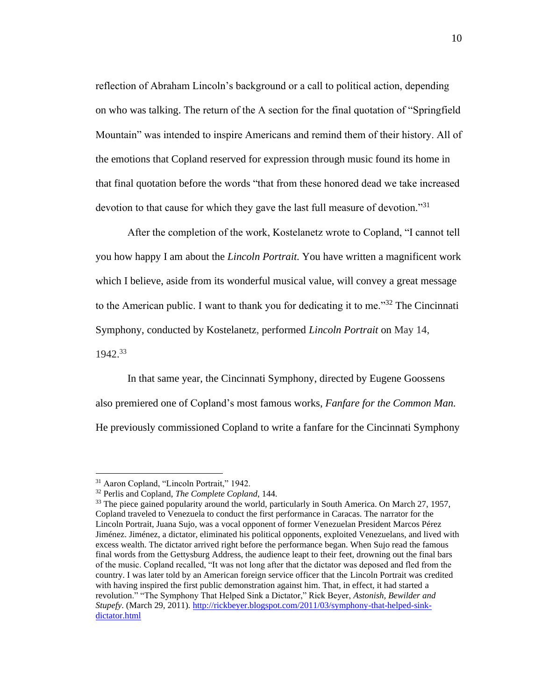reflection of Abraham Lincoln's background or a call to political action, depending on who was talking. The return of the A section for the final quotation of "Springfield Mountain" was intended to inspire Americans and remind them of their history. All of the emotions that Copland reserved for expression through music found its home in that final quotation before the words "that from these honored dead we take increased devotion to that cause for which they gave the last full measure of devotion.<sup>"31</sup>

After the completion of the work, Kostelanetz wrote to Copland, "I cannot tell you how happy I am about the *Lincoln Portrait.* You have written a magnificent work which I believe, aside from its wonderful musical value, will convey a great message to the American public. I want to thank you for dedicating it to me."<sup>32</sup> The Cincinnati Symphony, conducted by Kostelanetz, performed *Lincoln Portrait* on May 14, 1942.<sup>33</sup>

In that same year, the Cincinnati Symphony, directed by Eugene Goossens also premiered one of Copland's most famous works, *Fanfare for the Common Man.*  He previously commissioned Copland to write a fanfare for the Cincinnati Symphony

<sup>&</sup>lt;sup>31</sup> Aaron Copland, "Lincoln Portrait," 1942.

<sup>32</sup> Perlis and Copland, *The Complete Copland*, 144.

<sup>&</sup>lt;sup>33</sup> The piece gained popularity around the world, particularly in South America. On March 27, 1957, Copland traveled to Venezuela to conduct the first performance in Caracas. The narrator for the Lincoln Portrait, Juana Sujo, was a vocal opponent of former Venezuelan President Marcos Pérez Jiménez. Jiménez, a dictator, eliminated his political opponents, exploited Venezuelans, and lived with excess wealth. The dictator arrived right before the performance began. When Sujo read the famous final words from the Gettysburg Address, the audience leapt to their feet, drowning out the final bars of the music. Copland recalled, "It was not long after that the dictator was deposed and fled from the country. I was later told by an American foreign service officer that the Lincoln Portrait was credited with having inspired the first public demonstration against him. That, in effect, it had started a revolution." "The Symphony That Helped Sink a Dictator," Rick Beyer, *Astonish, Bewilder and Stupefy*. (March 29, 2011)[. http://rickbeyer.blogspot.com/2011/03/symphony-that-helped-sink](http://rickbeyer.blogspot.com/2011/03/symphony-that-helped-sink-dictator.html)[dictator.html](http://rickbeyer.blogspot.com/2011/03/symphony-that-helped-sink-dictator.html)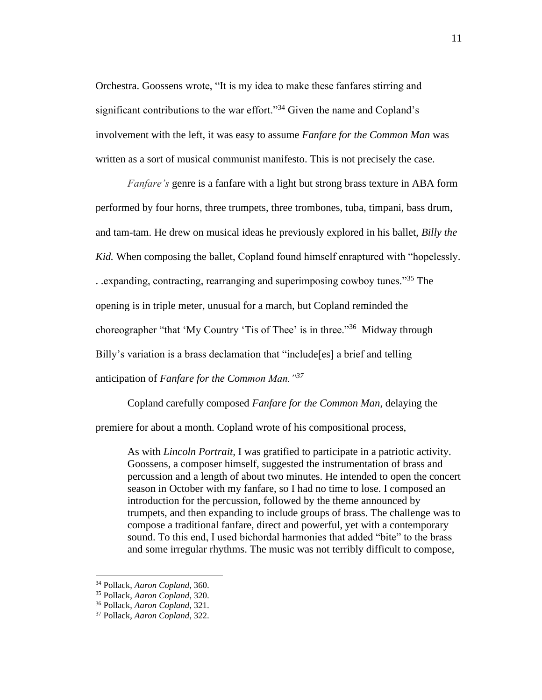Orchestra. Goossens wrote, "It is my idea to make these fanfares stirring and significant contributions to the war effort."<sup>34</sup> Given the name and Copland's involvement with the left, it was easy to assume *Fanfare for the Common Man* was written as a sort of musical communist manifesto. This is not precisely the case.

*Fanfare's* genre is a fanfare with a light but strong brass texture in ABA form performed by four horns, three trumpets, three trombones, tuba, timpani, bass drum, and tam-tam. He drew on musical ideas he previously explored in his ballet, *Billy the Kid.* When composing the ballet, Copland found himself enraptured with "hopelessly. . .expanding, contracting, rearranging and superimposing cowboy tunes."<sup>35</sup> The opening is in triple meter, unusual for a march, but Copland reminded the choreographer "that 'My Country 'Tis of Thee' is in three."<sup>36</sup> Midway through Billy's variation is a brass declamation that "include[es] a brief and telling anticipation of *Fanfare for the Common Man."<sup>37</sup>*

Copland carefully composed *Fanfare for the Common Man*, delaying the

premiere for about a month. Copland wrote of his compositional process,

As with *Lincoln Portrait,* I was gratified to participate in a patriotic activity. Goossens, a composer himself, suggested the instrumentation of brass and percussion and a length of about two minutes. He intended to open the concert season in October with my fanfare, so I had no time to lose. I composed an introduction for the percussion, followed by the theme announced by trumpets, and then expanding to include groups of brass. The challenge was to compose a traditional fanfare, direct and powerful, yet with a contemporary sound. To this end, I used bichordal harmonies that added "bite" to the brass and some irregular rhythms. The music was not terribly difficult to compose,

<sup>34</sup> Pollack, *Aaron Copland*, 360.

<sup>35</sup> Pollack, *Aaron Copland*, 320.

<sup>36</sup> Pollack, *Aaron Copland*, 321.

<sup>37</sup> Pollack, *Aaron Copland*, 322.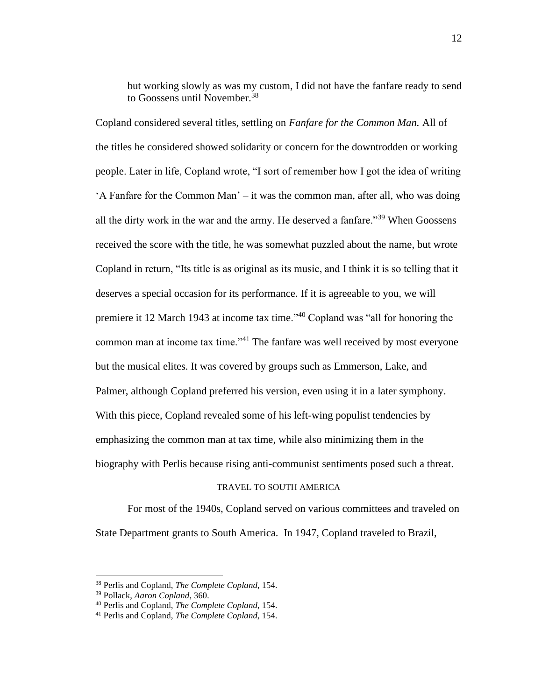but working slowly as was my custom, I did not have the fanfare ready to send to Goossens until November.<sup>38</sup>

Copland considered several titles, settling on *Fanfare for the Common Man.* All of the titles he considered showed solidarity or concern for the downtrodden or working people. Later in life, Copland wrote, "I sort of remember how I got the idea of writing 'A Fanfare for the Common Man' – it was the common man, after all, who was doing all the dirty work in the war and the army. He deserved a fanfare."<sup>39</sup> When Goossens received the score with the title, he was somewhat puzzled about the name, but wrote Copland in return, "Its title is as original as its music, and I think it is so telling that it deserves a special occasion for its performance. If it is agreeable to you, we will premiere it 12 March 1943 at income tax time."<sup>40</sup> Copland was "all for honoring the common man at income tax time."<sup>41</sup> The fanfare was well received by most everyone but the musical elites. It was covered by groups such as Emmerson, Lake, and Palmer, although Copland preferred his version, even using it in a later symphony. With this piece, Copland revealed some of his left-wing populist tendencies by emphasizing the common man at tax time, while also minimizing them in the biography with Perlis because rising anti-communist sentiments posed such a threat.

#### TRAVEL TO SOUTH AMERICA

For most of the 1940s, Copland served on various committees and traveled on State Department grants to South America. In 1947, Copland traveled to Brazil,

<sup>38</sup> Perlis and Copland, *The Complete Copland*, 154.

<sup>39</sup> Pollack, *Aaron Copland*, 360.

<sup>40</sup> Perlis and Copland, *The Complete Copland*, 154.

<sup>41</sup> Perlis and Copland, *The Complete Copland*, 154.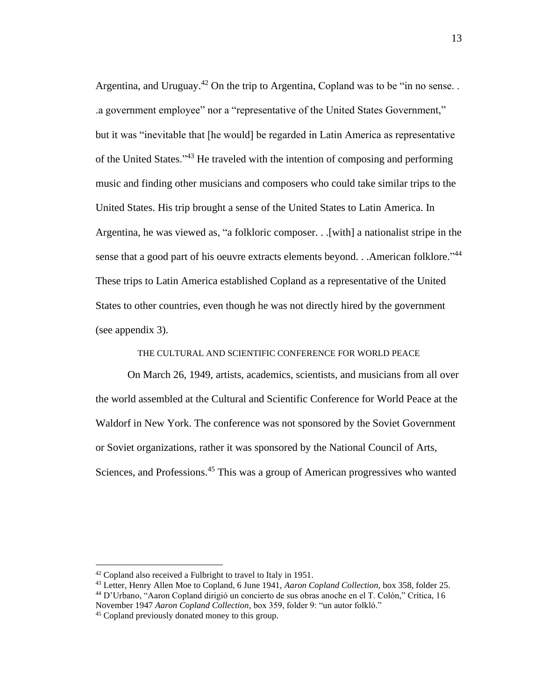Argentina, and Uruguay.<sup>42</sup> On the trip to Argentina, Copland was to be "in no sense... .a government employee" nor a "representative of the United States Government," but it was "inevitable that [he would] be regarded in Latin America as representative of the United States."<sup>43</sup> He traveled with the intention of composing and performing music and finding other musicians and composers who could take similar trips to the United States. His trip brought a sense of the United States to Latin America. In Argentina, he was viewed as, "a folkloric composer. . .[with] a nationalist stripe in the sense that a good part of his oeuvre extracts elements beyond. . . American folklore."<sup>44</sup> These trips to Latin America established Copland as a representative of the United States to other countries, even though he was not directly hired by the government (see appendix 3).

THE CULTURAL AND SCIENTIFIC CONFERENCE FOR WORLD PEACE

On March 26, 1949, artists, academics, scientists, and musicians from all over the world assembled at the Cultural and Scientific Conference for World Peace at the Waldorf in New York. The conference was not sponsored by the Soviet Government or Soviet organizations, rather it was sponsored by the National Council of Arts, Sciences, and Professions.<sup>45</sup> This was a group of American progressives who wanted

<sup>42</sup> Copland also received a Fulbright to travel to Italy in 1951.

<sup>43</sup> Letter, Henry Allen Moe to Copland, 6 June 1941, *Aaron Copland Collection,* box 358, folder 25. <sup>44</sup> D'Urbano, "Aaron Copland dirigió un concierto de sus obras anoche en el T. Colón," Crítica, 16 November 1947 *Aaron Copland Collection,* box 359, folder 9: "un autor folkló."

<sup>45</sup> Copland previously donated money to this group.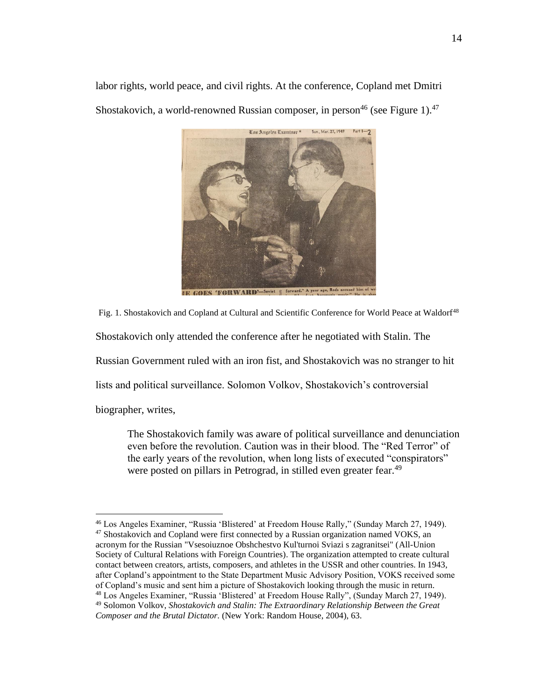labor rights, world peace, and civil rights. At the conference, Copland met Dmitri Shostakovich, a world-renowned Russian composer, in person<sup>46</sup> (see Figure 1).<sup>47</sup>



Fig. 1. Shostakovich and Copland at Cultural and Scientific Conference for World Peace at Waldorf<sup>48</sup>

Shostakovich only attended the conference after he negotiated with Stalin. The

Russian Government ruled with an iron fist, and Shostakovich was no stranger to hit

lists and political surveillance. Solomon Volkov, Shostakovich's controversial

biographer, writes,

The Shostakovich family was aware of political surveillance and denunciation even before the revolution. Caution was in their blood. The "Red Terror" of the early years of the revolution, when long lists of executed "conspirators" were posted on pillars in Petrograd, in stilled even greater fear.<sup>49</sup>

<sup>46</sup> Los Angeles Examiner, "Russia 'Blistered' at Freedom House Rally," (Sunday March 27, 1949). <sup>47</sup> Shostakovich and Copland were first connected by a Russian organization named VOKS, an acronym for the Russian "Vsesoiuznoe Obshchestvo Kul'turnoi Sviazi s zagranitsei" (All-Union Society of Cultural Relations with Foreign Countries). The organization attempted to create cultural contact between creators, artists, composers, and athletes in the USSR and other countries. In 1943, after Copland's appointment to the State Department Music Advisory Position, VOKS received some of Copland's music and sent him a picture of Shostakovich looking through the music in return. <sup>48</sup> Los Angeles Examiner, "Russia 'Blistered' at Freedom House Rally", (Sunday March 27, 1949). <sup>49</sup> Solomon Volkov, *Shostakovich and Stalin: The Extraordinary Relationship Between the Great Composer and the Brutal Dictator.* (New York: Random House, 2004), 63.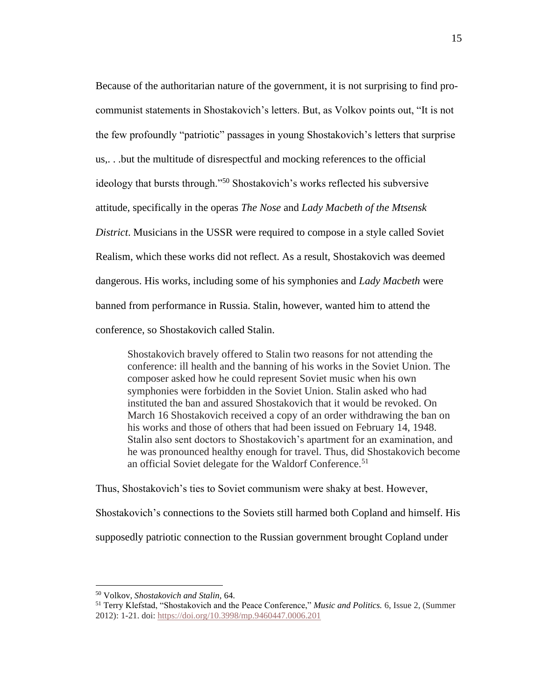Because of the authoritarian nature of the government, it is not surprising to find procommunist statements in Shostakovich's letters. But, as Volkov points out, "It is not the few profoundly "patriotic" passages in young Shostakovich's letters that surprise us,. . .but the multitude of disrespectful and mocking references to the official ideology that bursts through."<sup>50</sup> Shostakovich's works reflected his subversive attitude, specifically in the operas *The Nose* and *Lady Macbeth of the Mtsensk District*. Musicians in the USSR were required to compose in a style called Soviet Realism, which these works did not reflect. As a result, Shostakovich was deemed dangerous. His works, including some of his symphonies and *Lady Macbeth* were banned from performance in Russia. Stalin, however, wanted him to attend the conference, so Shostakovich called Stalin.

Shostakovich bravely offered to Stalin two reasons for not attending the conference: ill health and the banning of his works in the Soviet Union. The composer asked how he could represent Soviet music when his own symphonies were forbidden in the Soviet Union. Stalin asked who had instituted the ban and assured Shostakovich that it would be revoked. On March 16 Shostakovich received a copy of an order withdrawing the ban on his works and those of others that had been issued on February 14, 1948. Stalin also sent doctors to Shostakovich's apartment for an examination, and he was pronounced healthy enough for travel. Thus, did Shostakovich become an official Soviet delegate for the Waldorf Conference.<sup>51</sup>

Thus, Shostakovich's ties to Soviet communism were shaky at best. However, Shostakovich's connections to the Soviets still harmed both Copland and himself. His supposedly patriotic connection to the Russian government brought Copland under

<sup>50</sup> Volkov, *Shostakovich and Stalin,* 64.

<sup>51</sup> Terry Klefstad, "Shostakovich and the Peace Conference," *Music and Politics.* 6, Issue 2, (Summer 2012): 1-21. doi: <https://doi.org/10.3998/mp.9460447.0006.201>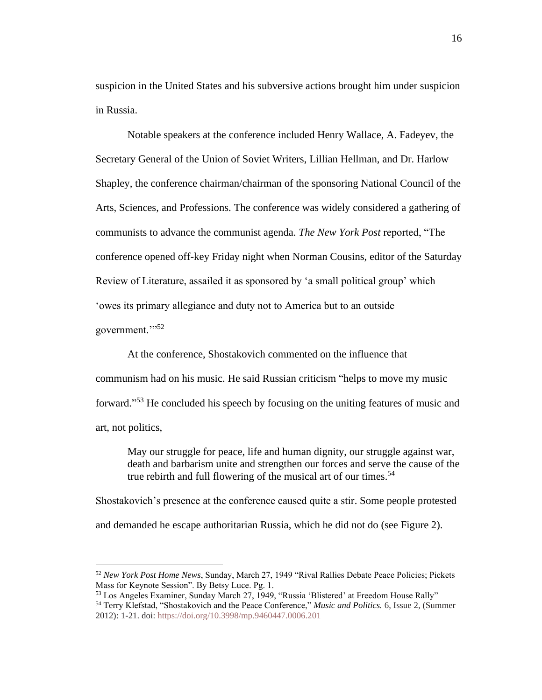suspicion in the United States and his subversive actions brought him under suspicion in Russia.

Notable speakers at the conference included Henry Wallace, A. Fadeyev, the Secretary General of the Union of Soviet Writers, Lillian Hellman, and Dr. Harlow Shapley, the conference chairman/chairman of the sponsoring National Council of the Arts, Sciences, and Professions. The conference was widely considered a gathering of communists to advance the communist agenda. *The New York Post* reported, "The conference opened off-key Friday night when Norman Cousins, editor of the Saturday Review of Literature, assailed it as sponsored by 'a small political group' which 'owes its primary allegiance and duty not to America but to an outside government."<sup>52</sup>

At the conference, Shostakovich commented on the influence that communism had on his music. He said Russian criticism "helps to move my music forward." <sup>53</sup> He concluded his speech by focusing on the uniting features of music and art, not politics,

May our struggle for peace, life and human dignity, our struggle against war, death and barbarism unite and strengthen our forces and serve the cause of the true rebirth and full flowering of the musical art of our times.<sup>54</sup>

Shostakovich's presence at the conference caused quite a stir. Some people protested and demanded he escape authoritarian Russia, which he did not do (see Figure 2).

<sup>52</sup> *New York Post Home News*, Sunday, March 27, 1949 "Rival Rallies Debate Peace Policies; Pickets Mass for Keynote Session". By Betsy Luce. Pg. 1.

<sup>53</sup> Los Angeles Examiner, Sunday March 27, 1949, "Russia 'Blistered' at Freedom House Rally" <sup>54</sup> Terry Klefstad, "Shostakovich and the Peace Conference," *Music and Politics.* 6, Issue 2, (Summer

<sup>2012):</sup> 1-21. doi: <https://doi.org/10.3998/mp.9460447.0006.201>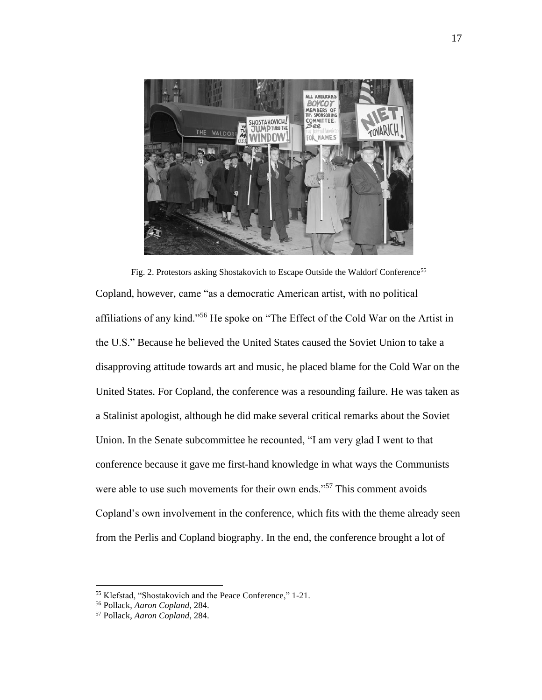

Fig. 2. Protestors asking Shostakovich to Escape Outside the Waldorf Conference<sup>55</sup> Copland, however, came "as a democratic American artist, with no political affiliations of any kind."<sup>56</sup> He spoke on "The Effect of the Cold War on the Artist in the U.S." Because he believed the United States caused the Soviet Union to take a disapproving attitude towards art and music, he placed blame for the Cold War on the United States. For Copland, the conference was a resounding failure. He was taken as a Stalinist apologist, although he did make several critical remarks about the Soviet Union. In the Senate subcommittee he recounted, "I am very glad I went to that conference because it gave me first-hand knowledge in what ways the Communists were able to use such movements for their own ends."<sup>57</sup> This comment avoids Copland's own involvement in the conference, which fits with the theme already seen from the Perlis and Copland biography. In the end, the conference brought a lot of

<sup>55</sup> Klefstad, "Shostakovich and the Peace Conference," 1-21.

<sup>56</sup> Pollack, *Aaron Copland*, 284.

<sup>57</sup> Pollack, *Aaron Copland*, 284.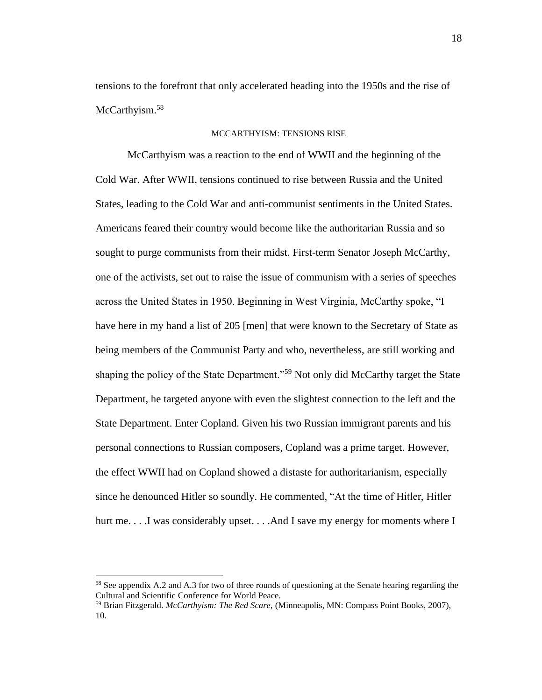tensions to the forefront that only accelerated heading into the 1950s and the rise of McCarthyism.<sup>58</sup>

## MCCARTHYISM: TENSIONS RISE

McCarthyism was a reaction to the end of WWII and the beginning of the Cold War. After WWII, tensions continued to rise between Russia and the United States, leading to the Cold War and anti-communist sentiments in the United States. Americans feared their country would become like the authoritarian Russia and so sought to purge communists from their midst. First-term Senator Joseph McCarthy, one of the activists, set out to raise the issue of communism with a series of speeches across the United States in 1950. Beginning in West Virginia, McCarthy spoke, "I have here in my hand a list of 205 [men] that were known to the Secretary of State as being members of the Communist Party and who, nevertheless, are still working and shaping the policy of the State Department."<sup>59</sup> Not only did McCarthy target the State Department, he targeted anyone with even the slightest connection to the left and the State Department. Enter Copland. Given his two Russian immigrant parents and his personal connections to Russian composers, Copland was a prime target. However, the effect WWII had on Copland showed a distaste for authoritarianism, especially since he denounced Hitler so soundly. He commented, "At the time of Hitler, Hitler hurt me. . . .I was considerably upset. . . .And I save my energy for moments where I

<sup>58</sup> See appendix A.2 and A.3 for two of three rounds of questioning at the Senate hearing regarding the Cultural and Scientific Conference for World Peace.

<sup>59</sup> Brian Fitzgerald. *McCarthyism: The Red Scare,* (Minneapolis, MN: Compass Point Books, 2007), 10.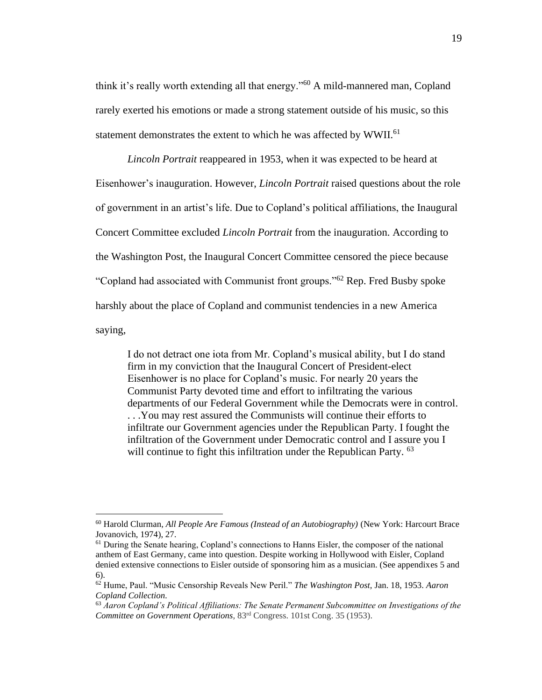think it's really worth extending all that energy."<sup>60</sup> A mild-mannered man, Copland rarely exerted his emotions or made a strong statement outside of his music, so this statement demonstrates the extent to which he was affected by WWII.<sup>61</sup>

*Lincoln Portrait* reappeared in 1953, when it was expected to be heard at Eisenhower's inauguration. However, *Lincoln Portrait* raised questions about the role of government in an artist's life. Due to Copland's political affiliations, the Inaugural Concert Committee excluded *Lincoln Portrait* from the inauguration. According to the Washington Post, the Inaugural Concert Committee censored the piece because "Copland had associated with Communist front groups."<sup>62</sup> Rep. Fred Busby spoke harshly about the place of Copland and communist tendencies in a new America saying,

I do not detract one iota from Mr. Copland's musical ability, but I do stand firm in my conviction that the Inaugural Concert of President-elect Eisenhower is no place for Copland's music. For nearly 20 years the Communist Party devoted time and effort to infiltrating the various departments of our Federal Government while the Democrats were in control. . . .You may rest assured the Communists will continue their efforts to infiltrate our Government agencies under the Republican Party. I fought the infiltration of the Government under Democratic control and I assure you I will continue to fight this infiltration under the Republican Party. <sup>63</sup>

<sup>60</sup> Harold Clurman, *All People Are Famous (Instead of an Autobiography)* (New York: Harcourt Brace Jovanovich, 1974), 27.

<sup>&</sup>lt;sup>61</sup> During the Senate hearing, Copland's connections to Hanns Eisler, the composer of the national anthem of East Germany, came into question. Despite working in Hollywood with Eisler, Copland denied extensive connections to Eisler outside of sponsoring him as a musician. (See appendixes 5 and 6).

<sup>62</sup> Hume, Paul. "Music Censorship Reveals New Peril." *The Washington Post,* Jan. 18, 1953. *Aaron Copland Collection.* 

<sup>63</sup> *Aaron Copland's Political Affiliations: The Senate Permanent Subcommittee on Investigations of the Committee on Government Operations*, 83rd Congress. 101st Cong. 35 (1953).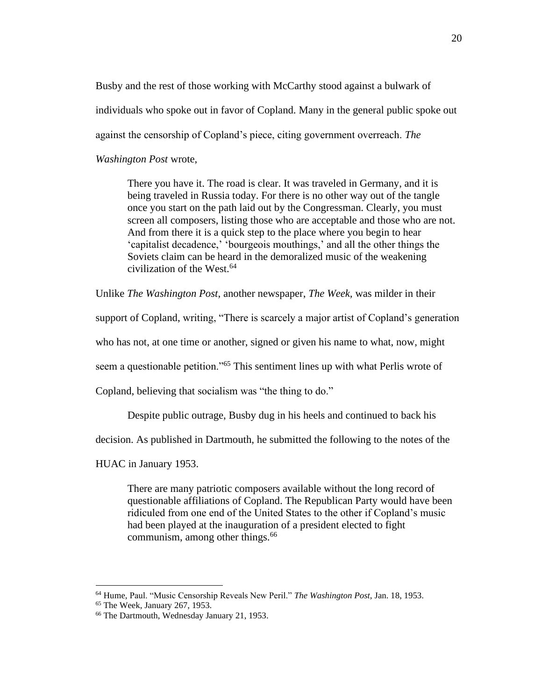Busby and the rest of those working with McCarthy stood against a bulwark of individuals who spoke out in favor of Copland. Many in the general public spoke out against the censorship of Copland's piece, citing government overreach. *The* 

*Washington Post* wrote,

There you have it. The road is clear. It was traveled in Germany, and it is being traveled in Russia today. For there is no other way out of the tangle once you start on the path laid out by the Congressman. Clearly, you must screen all composers, listing those who are acceptable and those who are not. And from there it is a quick step to the place where you begin to hear 'capitalist decadence,' 'bourgeois mouthings,' and all the other things the Soviets claim can be heard in the demoralized music of the weakening civilization of the West.<sup>64</sup>

Unlike *The Washington Post*, another newspaper, *The Week,* was milder in their

support of Copland, writing, "There is scarcely a major artist of Copland's generation

who has not, at one time or another, signed or given his name to what, now, might

seem a questionable petition."<sup>65</sup> This sentiment lines up with what Perlis wrote of

Copland, believing that socialism was "the thing to do."

Despite public outrage, Busby dug in his heels and continued to back his

decision. As published in Dartmouth, he submitted the following to the notes of the

HUAC in January 1953.

There are many patriotic composers available without the long record of questionable affiliations of Copland. The Republican Party would have been ridiculed from one end of the United States to the other if Copland's music had been played at the inauguration of a president elected to fight communism, among other things.<sup>66</sup>

<sup>64</sup> Hume, Paul. "Music Censorship Reveals New Peril." *The Washington Post,* Jan. 18, 1953.

<sup>65</sup> The Week, January 267, 1953.

<sup>66</sup> The Dartmouth, Wednesday January 21, 1953.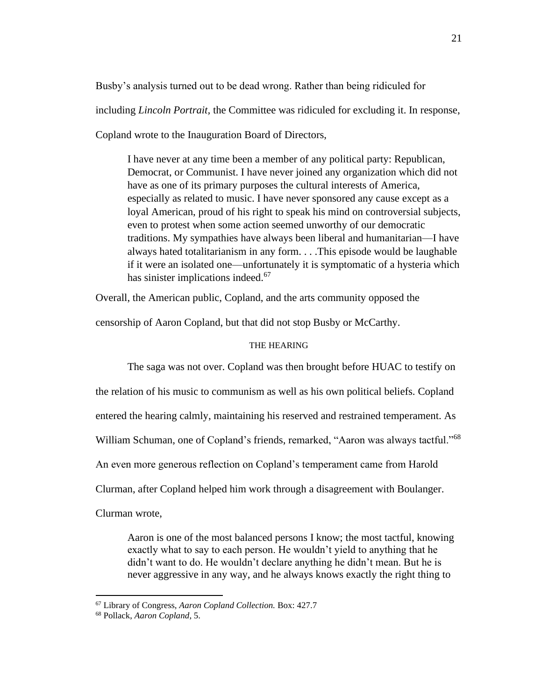Busby's analysis turned out to be dead wrong. Rather than being ridiculed for

including *Lincoln Portrait,* the Committee was ridiculed for excluding it. In response,

Copland wrote to the Inauguration Board of Directors,

I have never at any time been a member of any political party: Republican, Democrat, or Communist. I have never joined any organization which did not have as one of its primary purposes the cultural interests of America, especially as related to music. I have never sponsored any cause except as a loyal American, proud of his right to speak his mind on controversial subjects, even to protest when some action seemed unworthy of our democratic traditions. My sympathies have always been liberal and humanitarian—I have always hated totalitarianism in any form. . . .This episode would be laughable if it were an isolated one—unfortunately it is symptomatic of a hysteria which has sinister implications indeed.<sup>67</sup>

Overall, the American public, Copland, and the arts community opposed the

censorship of Aaron Copland, but that did not stop Busby or McCarthy.

### THE HEARING

The saga was not over. Copland was then brought before HUAC to testify on the relation of his music to communism as well as his own political beliefs. Copland entered the hearing calmly, maintaining his reserved and restrained temperament. As William Schuman, one of Copland's friends, remarked, "Aaron was always tactful."<sup>68</sup> An even more generous reflection on Copland's temperament came from Harold Clurman, after Copland helped him work through a disagreement with Boulanger. Clurman wrote,

Aaron is one of the most balanced persons I know; the most tactful, knowing exactly what to say to each person. He wouldn't yield to anything that he didn't want to do. He wouldn't declare anything he didn't mean. But he is never aggressive in any way, and he always knows exactly the right thing to

<sup>67</sup> Library of Congress, *Aaron Copland Collection.* Box: 427.7

<sup>68</sup> Pollack, *Aaron Copland*, 5.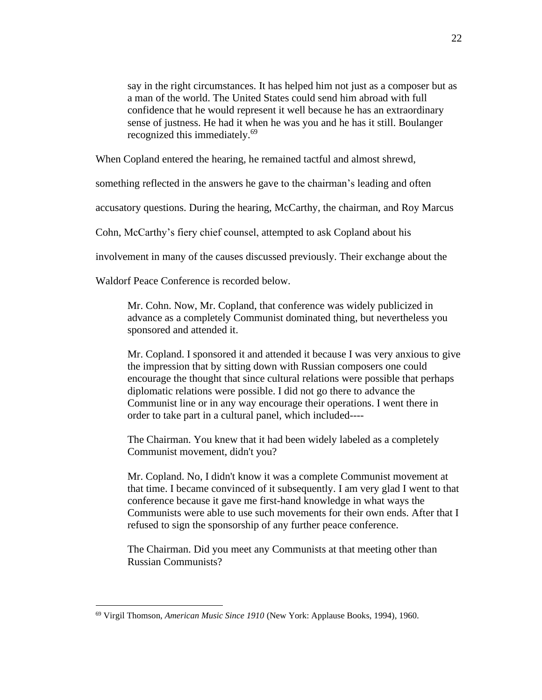say in the right circumstances. It has helped him not just as a composer but as a man of the world. The United States could send him abroad with full confidence that he would represent it well because he has an extraordinary sense of justness. He had it when he was you and he has it still. Boulanger recognized this immediately.<sup>69</sup>

When Copland entered the hearing, he remained tactful and almost shrewd,

something reflected in the answers he gave to the chairman's leading and often

accusatory questions. During the hearing, McCarthy, the chairman, and Roy Marcus

Cohn, McCarthy's fiery chief counsel, attempted to ask Copland about his

involvement in many of the causes discussed previously. Their exchange about the

Waldorf Peace Conference is recorded below.

Mr. Cohn. Now, Mr. Copland, that conference was widely publicized in advance as a completely Communist dominated thing, but nevertheless you sponsored and attended it.

Mr. Copland. I sponsored it and attended it because I was very anxious to give the impression that by sitting down with Russian composers one could encourage the thought that since cultural relations were possible that perhaps diplomatic relations were possible. I did not go there to advance the Communist line or in any way encourage their operations. I went there in order to take part in a cultural panel, which included----

The Chairman. You knew that it had been widely labeled as a completely Communist movement, didn't you?

Mr. Copland. No, I didn't know it was a complete Communist movement at that time. I became convinced of it subsequently. I am very glad I went to that conference because it gave me first-hand knowledge in what ways the Communists were able to use such movements for their own ends. After that I refused to sign the sponsorship of any further peace conference.

The Chairman. Did you meet any Communists at that meeting other than Russian Communists?

<sup>69</sup> Virgil Thomson, *American Music Since 1910* (New York: Applause Books, 1994), 1960.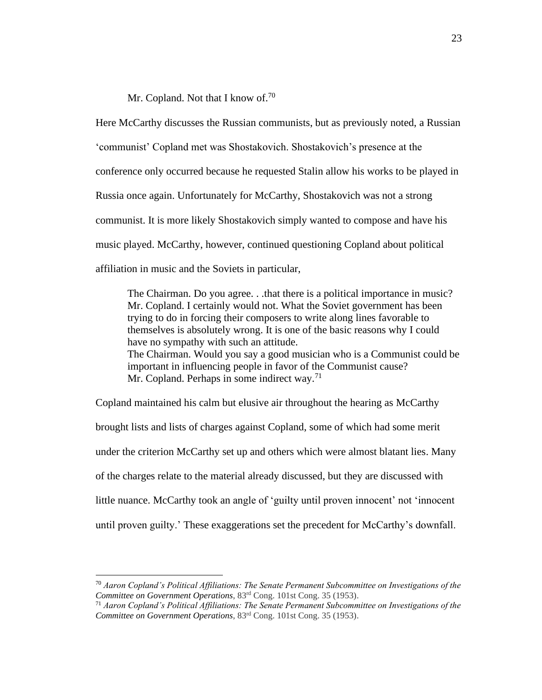Mr. Copland. Not that I know of.<sup>70</sup>

Here McCarthy discusses the Russian communists, but as previously noted, a Russian 'communist' Copland met was Shostakovich. Shostakovich's presence at the conference only occurred because he requested Stalin allow his works to be played in Russia once again. Unfortunately for McCarthy, Shostakovich was not a strong communist. It is more likely Shostakovich simply wanted to compose and have his music played. McCarthy, however, continued questioning Copland about political affiliation in music and the Soviets in particular,

The Chairman. Do you agree. . .that there is a political importance in music? Mr. Copland. I certainly would not. What the Soviet government has been trying to do in forcing their composers to write along lines favorable to themselves is absolutely wrong. It is one of the basic reasons why I could have no sympathy with such an attitude. The Chairman. Would you say a good musician who is a Communist could be important in influencing people in favor of the Communist cause? Mr. Copland. Perhaps in some indirect way.<sup>71</sup>

Copland maintained his calm but elusive air throughout the hearing as McCarthy brought lists and lists of charges against Copland, some of which had some merit under the criterion McCarthy set up and others which were almost blatant lies. Many of the charges relate to the material already discussed, but they are discussed with little nuance. McCarthy took an angle of 'guilty until proven innocent' not 'innocent until proven guilty.' These exaggerations set the precedent for McCarthy's downfall.

<sup>70</sup> *Aaron Copland's Political Affiliations: The Senate Permanent Subcommittee on Investigations of the Committee on Government Operations*, 83rd Cong. 101st Cong. 35 (1953).

<sup>71</sup> *Aaron Copland's Political Affiliations: The Senate Permanent Subcommittee on Investigations of the Committee on Government Operations*, 83rd Cong. 101st Cong. 35 (1953).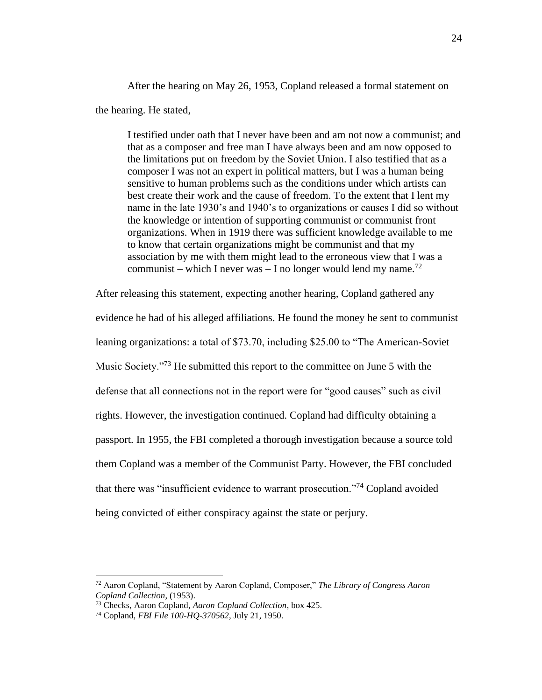After the hearing on May 26, 1953, Copland released a formal statement on the hearing. He stated,

I testified under oath that I never have been and am not now a communist; and that as a composer and free man I have always been and am now opposed to the limitations put on freedom by the Soviet Union. I also testified that as a composer I was not an expert in political matters, but I was a human being sensitive to human problems such as the conditions under which artists can best create their work and the cause of freedom. To the extent that I lent my name in the late 1930's and 1940's to organizations or causes I did so without the knowledge or intention of supporting communist or communist front organizations. When in 1919 there was sufficient knowledge available to me to know that certain organizations might be communist and that my association by me with them might lead to the erroneous view that I was a communist – which I never was – I no longer would lend my name.<sup>72</sup>

After releasing this statement, expecting another hearing, Copland gathered any evidence he had of his alleged affiliations. He found the money he sent to communist leaning organizations: a total of \$73.70, including \$25.00 to "The American-Soviet Music Society."<sup>73</sup> He submitted this report to the committee on June 5 with the defense that all connections not in the report were for "good causes" such as civil rights. However, the investigation continued. Copland had difficulty obtaining a passport. In 1955, the FBI completed a thorough investigation because a source told them Copland was a member of the Communist Party. However, the FBI concluded that there was "insufficient evidence to warrant prosecution."<sup>74</sup> Copland avoided being convicted of either conspiracy against the state or perjury.

<sup>72</sup> Aaron Copland, "Statement by Aaron Copland, Composer," *The Library of Congress Aaron Copland Collection*, (1953).

<sup>73</sup> Checks, Aaron Copland, *Aaron Copland Collection*, box 425.

<sup>74</sup> Copland, *FBI File 100-HQ-370562*, July 21, 1950.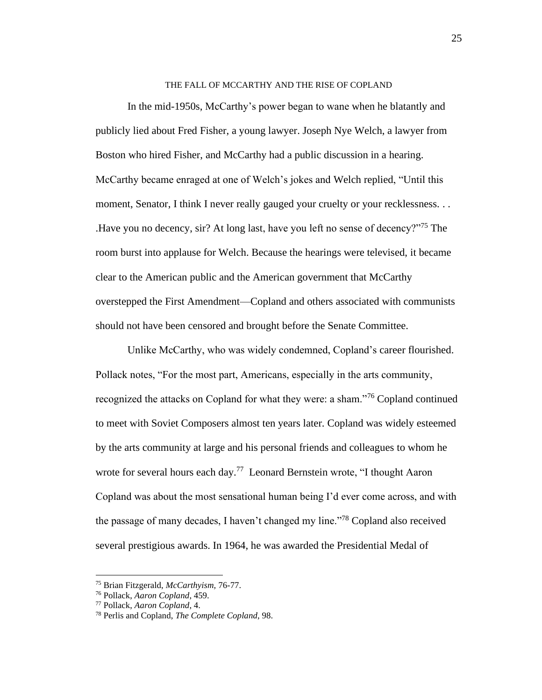#### THE FALL OF MCCARTHY AND THE RISE OF COPLAND

In the mid-1950s, McCarthy's power began to wane when he blatantly and publicly lied about Fred Fisher, a young lawyer. Joseph Nye Welch, a lawyer from Boston who hired Fisher, and McCarthy had a public discussion in a hearing. McCarthy became enraged at one of Welch's jokes and Welch replied, "Until this moment, Senator, I think I never really gauged your cruelty or your recklessness. . . .Have you no decency, sir? At long last, have you left no sense of decency?"<sup>75</sup> The room burst into applause for Welch. Because the hearings were televised, it became clear to the American public and the American government that McCarthy overstepped the First Amendment—Copland and others associated with communists should not have been censored and brought before the Senate Committee.

Unlike McCarthy, who was widely condemned, Copland's career flourished. Pollack notes, "For the most part, Americans, especially in the arts community, recognized the attacks on Copland for what they were: a sham."<sup>76</sup> Copland continued to meet with Soviet Composers almost ten years later. Copland was widely esteemed by the arts community at large and his personal friends and colleagues to whom he wrote for several hours each day.<sup>77</sup> Leonard Bernstein wrote, "I thought Aaron Copland was about the most sensational human being I'd ever come across, and with the passage of many decades, I haven't changed my line."<sup>78</sup> Copland also received several prestigious awards. In 1964, he was awarded the Presidential Medal of

25

<sup>75</sup> Brian Fitzgerald, *McCarthyism,* 76-77.

<sup>76</sup> Pollack, *Aaron Copland*, 459.

<sup>77</sup> Pollack, *Aaron Copland*, 4.

<sup>78</sup> Perlis and Copland, *The Complete Copland*, 98.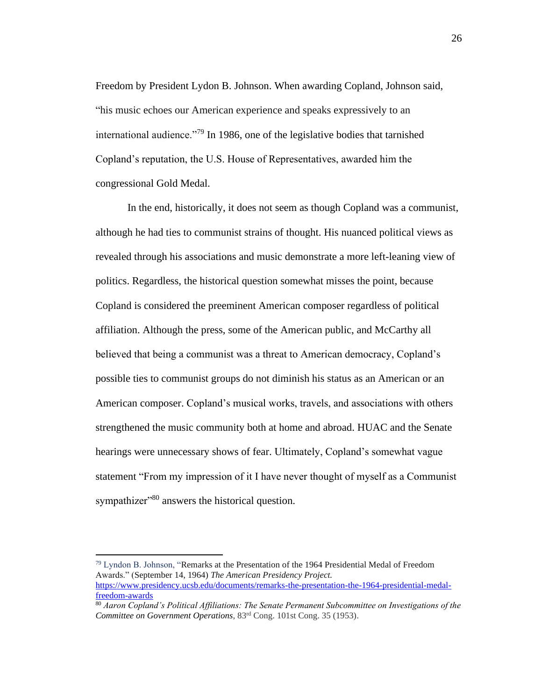Freedom by President Lydon B. Johnson. When awarding Copland, Johnson said, "his music echoes our American experience and speaks expressively to an international audience."<sup>79</sup> In 1986, one of the legislative bodies that tarnished Copland's reputation, the U.S. House of Representatives, awarded him the congressional Gold Medal.

In the end, historically, it does not seem as though Copland was a communist, although he had ties to communist strains of thought. His nuanced political views as revealed through his associations and music demonstrate a more left-leaning view of politics. Regardless, the historical question somewhat misses the point, because Copland is considered the preeminent American composer regardless of political affiliation. Although the press, some of the American public, and McCarthy all believed that being a communist was a threat to American democracy, Copland's possible ties to communist groups do not diminish his status as an American or an American composer. Copland's musical works, travels, and associations with others strengthened the music community both at home and abroad. HUAC and the Senate hearings were unnecessary shows of fear. Ultimately, Copland's somewhat vague statement "From my impression of it I have never thought of myself as a Communist sympathizer<sup>380</sup> answers the historical question.

<sup>79</sup> Lyndon B. Johnson, "Remarks at the Presentation of the 1964 Presidential Medal of Freedom Awards." (September 14, 1964) *The American Presidency Project.*  [https://www.presidency.ucsb.edu/documents/remarks-the-presentation-the-1964-presidential-medal-](https://www.presidency.ucsb.edu/documents/remarks-the-presentation-the-1964-presidential-medal-freedom-awards)

[freedom-awards](https://www.presidency.ucsb.edu/documents/remarks-the-presentation-the-1964-presidential-medal-freedom-awards)

<sup>80</sup> *Aaron Copland's Political Affiliations: The Senate Permanent Subcommittee on Investigations of the Committee on Government Operations*, 83rd Cong. 101st Cong. 35 (1953).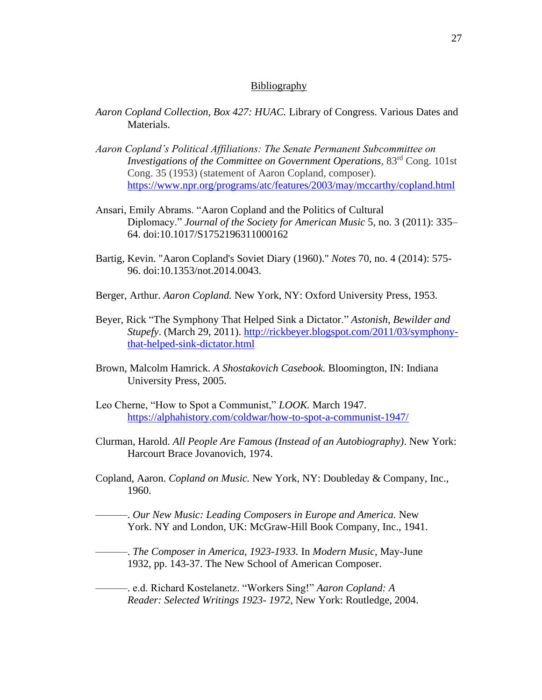#### **Bibliography**

- *Aaron Copland Collection, Box 427: HUAC.* Library of Congress. Various Dates and Materials.
- *Aaron Copland's Political Affiliations: The Senate Permanent Subcommittee on Investigations of the Committee on Government Operations*, 83<sup>rd</sup> Cong. 101st Cong. 35 (1953) (statement of Aaron Copland, composer). <https://www.npr.org/programs/atc/features/2003/may/mccarthy/copland.html>
- Ansari, Emily Abrams. "Aaron Copland and the Politics of Cultural Diplomacy." *Journal of the Society for American Music* 5, no. 3 (2011): 335– 64. doi:10.1017/S1752196311000162
- Bartig, Kevin. "Aaron Copland's Soviet Diary (1960)." *Notes* 70, no. 4 (2014): 575- 96. doi:10.1353/not.2014.0043.
- Berger, Arthur. *Aaron Copland.* New York, NY: Oxford University Press, 1953.
- Beyer, Rick "The Symphony That Helped Sink a Dictator." *Astonish, Bewilder and Stupefy*. (March 29, 2011). [http://rickbeyer.blogspot.com/2011/03/symphony](http://rickbeyer.blogspot.com/2011/03/symphony-that-helped-sink-dictator.html)[that-helped-sink-dictator.html](http://rickbeyer.blogspot.com/2011/03/symphony-that-helped-sink-dictator.html)
- Brown, Malcolm Hamrick. *A Shostakovich Casebook.* Bloomington, IN: Indiana University Press, 2005.
- Leo Cherne, "How to Spot a Communist," *LOOK.* March 1947. <https://alphahistory.com/coldwar/how-to-spot-a-communist-1947/>
- Clurman, Harold. *All People Are Famous (Instead of an Autobiography)*. New York: Harcourt Brace Jovanovich, 1974.
- Copland, Aaron. *Copland on Music.* New York, NY: Doubleday & Company, Inc., 1960.
	- ———. *Our New Music: Leading Composers in Europe and America.* New York. NY and London, UK: McGraw-Hill Book Company, Inc., 1941.

———. *The Composer in America, 1923-1933.* In *Modern Music,* May-June 1932, pp. 143-37. The New School of American Composer.

———. e.d. Richard Kostelanetz. "Workers Sing!" *Aaron Copland: A Reader: Selected Writings 1923- 1972*, New York: Routledge, 2004.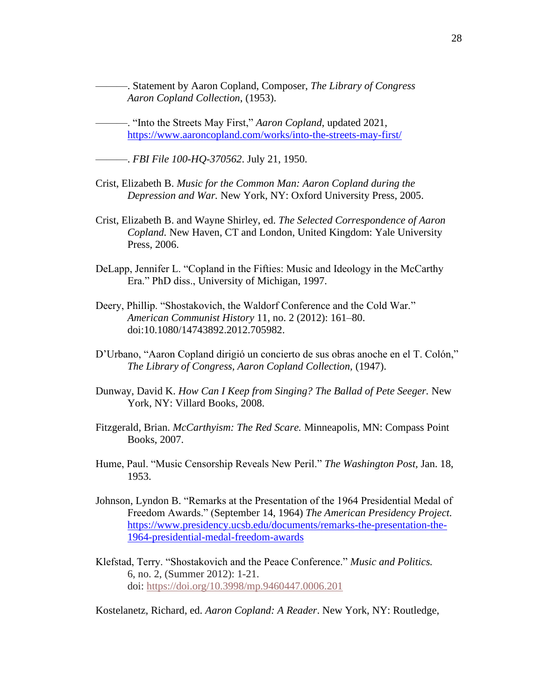———. Statement by Aaron Copland, Composer, *The Library of Congress Aaron Copland Collection*, (1953).

———. "Into the Streets May First," *Aaron Copland*, updated 2021, <https://www.aaroncopland.com/works/into-the-streets-may-first/>

———. *FBI File 100-HQ-370562*. July 21, 1950.

- Crist, Elizabeth B. *Music for the Common Man: Aaron Copland during the Depression and War.* New York, NY: Oxford University Press, 2005.
- Crist, Elizabeth B. and Wayne Shirley, ed. *The Selected Correspondence of Aaron Copland.* New Haven, CT and London, United Kingdom: Yale University Press, 2006.
- DeLapp, Jennifer L. "Copland in the Fifties: Music and Ideology in the McCarthy Era." PhD diss., University of Michigan, 1997.
- Deery, Phillip. "Shostakovich, the Waldorf Conference and the Cold War." *American Communist History* 11, no. 2 (2012): 161–80. doi:10.1080/14743892.2012.705982.
- D'Urbano, "Aaron Copland dirigió un concierto de sus obras anoche en el T. Colón," *The Library of Congress, Aaron Copland Collection,* (1947).
- Dunway, David K. *How Can I Keep from Singing? The Ballad of Pete Seeger.* New York, NY: Villard Books, 2008.
- Fitzgerald, Brian. *McCarthyism: The Red Scare.* Minneapolis, MN: Compass Point Books, 2007.
- Hume, Paul. "Music Censorship Reveals New Peril." *The Washington Post,* Jan. 18, 1953.
- Johnson, Lyndon B. "Remarks at the Presentation of the 1964 Presidential Medal of Freedom Awards." (September 14, 1964) *The American Presidency Project.* [https://www.presidency.ucsb.edu/documents/remarks-the-presentation-the-](https://www.presidency.ucsb.edu/documents/remarks-the-presentation-the-1964-presidential-medal-freedom-awards)[1964-presidential-medal-freedom-awards](https://www.presidency.ucsb.edu/documents/remarks-the-presentation-the-1964-presidential-medal-freedom-awards)
- Klefstad, Terry. "Shostakovich and the Peace Conference." *Music and Politics.*  6, no. 2, (Summer 2012): 1-21. doi: <https://doi.org/10.3998/mp.9460447.0006.201>

Kostelanetz, Richard, ed. *Aaron Copland: A Reader*. New York, NY: Routledge,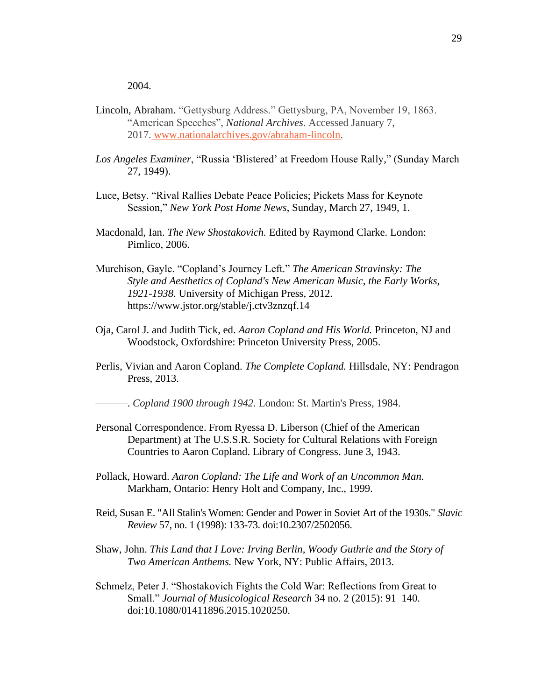2004.

- Lincoln, Abraham. "Gettysburg Address." Gettysburg, PA, November 19, 1863. "American Speeches", *National Archives*. Accessed January 7, 2017. [www.nationalarchives.gov/abraham-lincoln.](https://www.nationalarchives.gov/abraham-lincoln)
- *Los Angeles Examiner*, "Russia 'Blistered' at Freedom House Rally," (Sunday March 27, 1949).
- Luce, Betsy. "Rival Rallies Debate Peace Policies; Pickets Mass for Keynote Session," *New York Post Home News*, Sunday, March 27, 1949, 1.
- Macdonald, Ian. *The New Shostakovich.* Edited by Raymond Clarke. London: Pimlico, 2006.
- Murchison, Gayle. "Copland's Journey Left." *The American Stravinsky: The Style and Aesthetics of Copland's New American Music, the Early Works, 1921-1938*. University of Michigan Press, 2012. https://www.jstor.org/stable/j.ctv3znzqf.14
- Oja, Carol J. and Judith Tick, ed. *Aaron Copland and His World.* Princeton, NJ and Woodstock, Oxfordshire: Princeton University Press, 2005.
- Perlis, Vivian and Aaron Copland. *The Complete Copland.* Hillsdale, NY: Pendragon Press, 2013.

———. *Copland 1900 through 1942.* London: St. Martin's Press, 1984.

- Personal Correspondence. From Ryessa D. Liberson (Chief of the American Department) at The U.S.S.R. Society for Cultural Relations with Foreign Countries to Aaron Copland. Library of Congress. June 3, 1943.
- Pollack, Howard. *Aaron Copland: The Life and Work of an Uncommon Man.*  Markham, Ontario: Henry Holt and Company, Inc., 1999.
- Reid, Susan E. "All Stalin's Women: Gender and Power in Soviet Art of the 1930s." *Slavic Review* 57, no. 1 (1998): 133-73. doi:10.2307/2502056.
- Shaw, John. *This Land that I Love: Irving Berlin, Woody Guthrie and the Story of Two American Anthems.* New York, NY: Public Affairs, 2013.
- Schmelz, Peter J. "Shostakovich Fights the Cold War: Reflections from Great to Small." *Journal of Musicological Research* 34 no. 2 (2015): 91–140. doi:10.1080/01411896.2015.1020250.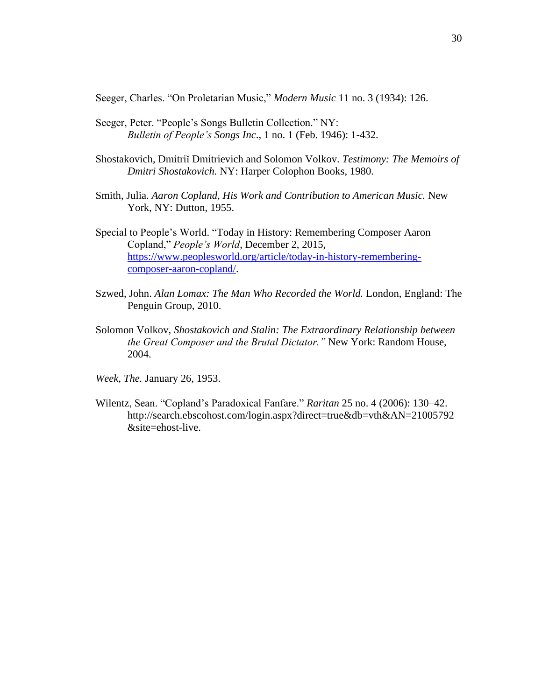Seeger, Charles. "On Proletarian Music," *Modern Music* 11 no. 3 (1934): 126.

- Seeger, Peter. "People's Songs Bulletin Collection." NY: *Bulletin of People's Songs Inc*., 1 no. 1 (Feb. 1946): 1-432.
- Shostakovich, Dmitriĭ Dmitrievich and Solomon Volkov. *Testimony: The Memoirs of Dmitri Shostakovich.* NY: Harper Colophon Books, 1980.
- Smith, Julia. *Aaron Copland, His Work and Contribution to American Music.* New York, NY: Dutton, 1955.
- Special to People's World. "Today in History: Remembering Composer Aaron Copland," *People's World*, December 2, 2015, [https://www.peoplesworld.org/article/today-in-history-remembering](https://www.peoplesworld.org/article/today-in-history-remembering-composer-aaron-copland/)[composer-aaron-copland/.](https://www.peoplesworld.org/article/today-in-history-remembering-composer-aaron-copland/)
- Szwed, John. *Alan Lomax: The Man Who Recorded the World.* London, England: The Penguin Group, 2010.
- Solomon Volkov, *Shostakovich and Stalin: The Extraordinary Relationship between the Great Composer and the Brutal Dictator."* New York: Random House, 2004.
- *Week*, *The.* January 26, 1953.
- Wilentz, Sean. "Copland's Paradoxical Fanfare." *Raritan* 25 no. 4 (2006): 130–42. http://search.ebscohost.com/login.aspx?direct=true&db=vth&AN=21005792 &site=ehost-live.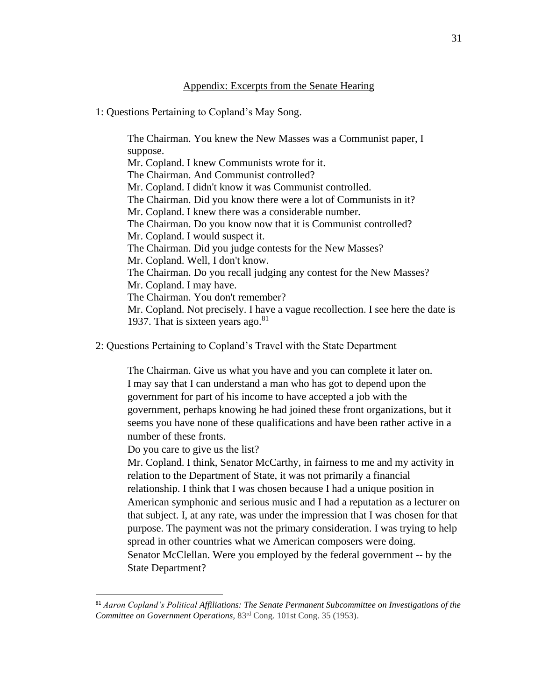### Appendix: Excerpts from the Senate Hearing

## 1: Questions Pertaining to Copland's May Song.

The Chairman. You knew the New Masses was a Communist paper, I suppose. Mr. Copland. I knew Communists wrote for it. The Chairman. And Communist controlled? Mr. Copland. I didn't know it was Communist controlled. The Chairman. Did you know there were a lot of Communists in it? Mr. Copland. I knew there was a considerable number. The Chairman. Do you know now that it is Communist controlled? Mr. Copland. I would suspect it. The Chairman. Did you judge contests for the New Masses? Mr. Copland. Well, I don't know. The Chairman. Do you recall judging any contest for the New Masses? Mr. Copland. I may have. The Chairman. You don't remember? Mr. Copland. Not precisely. I have a vague recollection. I see here the date is 1937. That is sixteen years ago. $81$ 

2: Questions Pertaining to Copland's Travel with the State Department

The Chairman. Give us what you have and you can complete it later on. I may say that I can understand a man who has got to depend upon the government for part of his income to have accepted a job with the government, perhaps knowing he had joined these front organizations, but it seems you have none of these qualifications and have been rather active in a number of these fronts.

Do you care to give us the list?

Mr. Copland. I think, Senator McCarthy, in fairness to me and my activity in relation to the Department of State, it was not primarily a financial relationship. I think that I was chosen because I had a unique position in American symphonic and serious music and I had a reputation as a lecturer on that subject. I, at any rate, was under the impression that I was chosen for that purpose. The payment was not the primary consideration. I was trying to help spread in other countries what we American composers were doing. Senator McClellan. Were you employed by the federal government -- by the State Department?

<sup>81</sup> *Aaron Copland's Political Affiliations: The Senate Permanent Subcommittee on Investigations of the Committee on Government Operations*, 83rd Cong. 101st Cong. 35 (1953).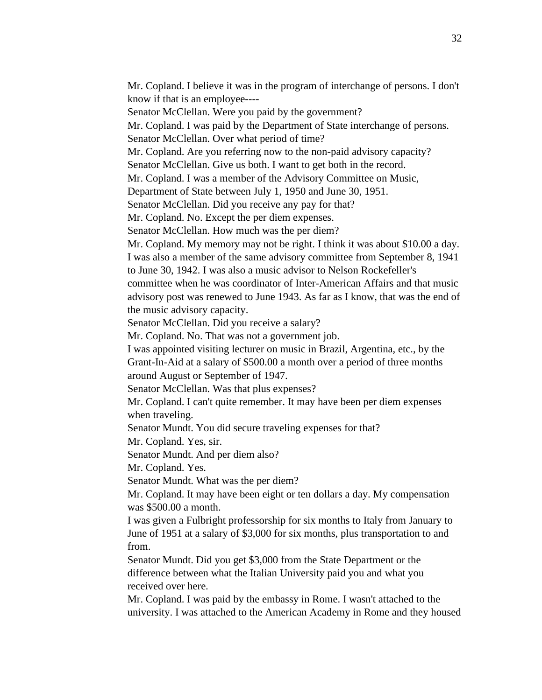Mr. Copland. I believe it was in the program of interchange of persons. I don't know if that is an employee----

Senator McClellan. Were you paid by the government?

Mr. Copland. I was paid by the Department of State interchange of persons.

Senator McClellan. Over what period of time?

Mr. Copland. Are you referring now to the non-paid advisory capacity?

Senator McClellan. Give us both. I want to get both in the record.

Mr. Copland. I was a member of the Advisory Committee on Music,

Department of State between July 1, 1950 and June 30, 1951.

Senator McClellan. Did you receive any pay for that?

Mr. Copland. No. Except the per diem expenses.

Senator McClellan. How much was the per diem?

Mr. Copland. My memory may not be right. I think it was about \$10.00 a day. I was also a member of the same advisory committee from September 8, 1941

to June 30, 1942. I was also a music advisor to Nelson Rockefeller's

committee when he was coordinator of Inter-American Affairs and that music advisory post was renewed to June 1943. As far as I know, that was the end of the music advisory capacity.

Senator McClellan. Did you receive a salary?

Mr. Copland. No. That was not a government job.

I was appointed visiting lecturer on music in Brazil, Argentina, etc., by the Grant-In-Aid at a salary of \$500.00 a month over a period of three months around August or September of 1947.

Senator McClellan. Was that plus expenses?

Mr. Copland. I can't quite remember. It may have been per diem expenses when traveling.

Senator Mundt. You did secure traveling expenses for that?

Mr. Copland. Yes, sir.

Senator Mundt. And per diem also?

Mr. Copland. Yes.

Senator Mundt. What was the per diem?

Mr. Copland. It may have been eight or ten dollars a day. My compensation was \$500.00 a month.

I was given a Fulbright professorship for six months to Italy from January to June of 1951 at a salary of \$3,000 for six months, plus transportation to and from.

Senator Mundt. Did you get \$3,000 from the State Department or the difference between what the Italian University paid you and what you received over here.

Mr. Copland. I was paid by the embassy in Rome. I wasn't attached to the university. I was attached to the American Academy in Rome and they housed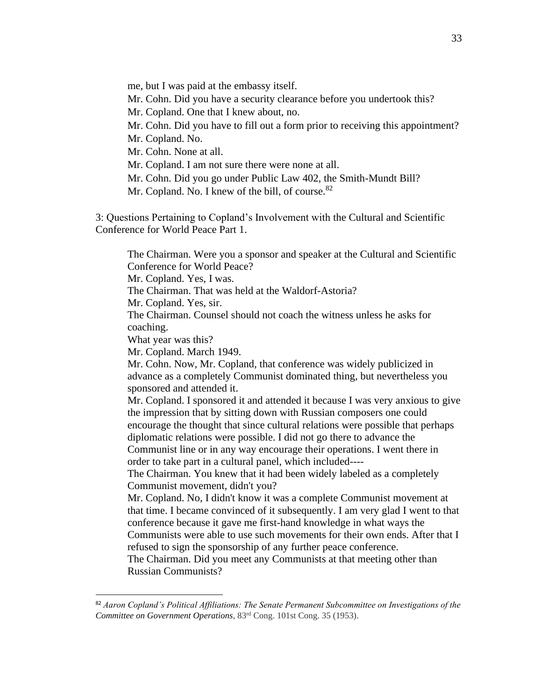me, but I was paid at the embassy itself. Mr. Cohn. Did you have a security clearance before you undertook this? Mr. Copland. One that I knew about, no. Mr. Cohn. Did you have to fill out a form prior to receiving this appointment? Mr. Copland. No. Mr. Cohn. None at all. Mr. Copland. I am not sure there were none at all. Mr. Cohn. Did you go under Public Law 402, the Smith-Mundt Bill? Mr. Copland. No. I knew of the bill, of course.<sup>82</sup>

3: Questions Pertaining to Copland's Involvement with the Cultural and Scientific Conference for World Peace Part 1.

The Chairman. Were you a sponsor and speaker at the Cultural and Scientific Conference for World Peace?

Mr. Copland. Yes, I was.

The Chairman. That was held at the Waldorf-Astoria?

Mr. Copland. Yes, sir.

The Chairman. Counsel should not coach the witness unless he asks for coaching.

What year was this?

Mr. Copland. March 1949.

Mr. Cohn. Now, Mr. Copland, that conference was widely publicized in advance as a completely Communist dominated thing, but nevertheless you sponsored and attended it.

Mr. Copland. I sponsored it and attended it because I was very anxious to give the impression that by sitting down with Russian composers one could encourage the thought that since cultural relations were possible that perhaps diplomatic relations were possible. I did not go there to advance the Communist line or in any way encourage their operations. I went there in order to take part in a cultural panel, which included----

The Chairman. You knew that it had been widely labeled as a completely Communist movement, didn't you?

Mr. Copland. No, I didn't know it was a complete Communist movement at that time. I became convinced of it subsequently. I am very glad I went to that conference because it gave me first-hand knowledge in what ways the Communists were able to use such movements for their own ends. After that I refused to sign the sponsorship of any further peace conference.

The Chairman. Did you meet any Communists at that meeting other than Russian Communists?

<sup>82</sup> *Aaron Copland's Political Affiliations: The Senate Permanent Subcommittee on Investigations of the Committee on Government Operations*, 83rd Cong. 101st Cong. 35 (1953).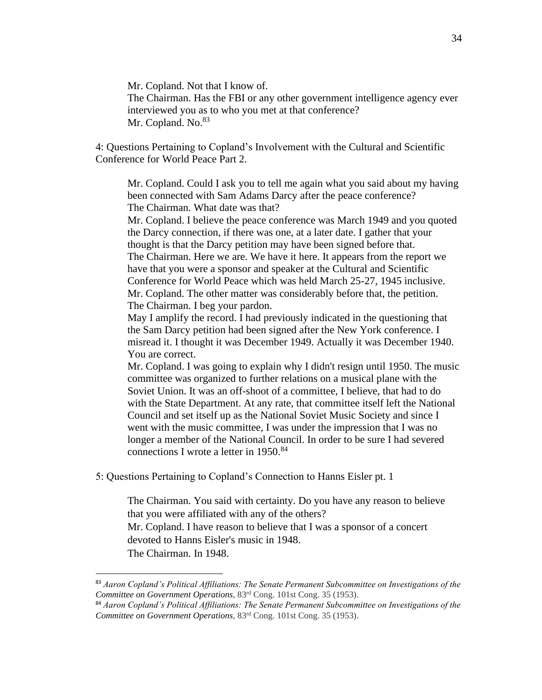Mr. Copland. Not that I know of. The Chairman. Has the FBI or any other government intelligence agency ever interviewed you as to who you met at that conference? Mr. Copland. No.<sup>83</sup>

4: Questions Pertaining to Copland's Involvement with the Cultural and Scientific Conference for World Peace Part 2.

Mr. Copland. Could I ask you to tell me again what you said about my having been connected with Sam Adams Darcy after the peace conference? The Chairman. What date was that?

Mr. Copland. I believe the peace conference was March 1949 and you quoted the Darcy connection, if there was one, at a later date. I gather that your thought is that the Darcy petition may have been signed before that. The Chairman. Here we are. We have it here. It appears from the report we

have that you were a sponsor and speaker at the Cultural and Scientific Conference for World Peace which was held March 25-27, 1945 inclusive. Mr. Copland. The other matter was considerably before that, the petition. The Chairman. I beg your pardon.

May I amplify the record. I had previously indicated in the questioning that the Sam Darcy petition had been signed after the New York conference. I misread it. I thought it was December 1949. Actually it was December 1940. You are correct.

Mr. Copland. I was going to explain why I didn't resign until 1950. The music committee was organized to further relations on a musical plane with the Soviet Union. It was an off-shoot of a committee, I believe, that had to do with the State Department. At any rate, that committee itself left the National Council and set itself up as the National Soviet Music Society and since I went with the music committee, I was under the impression that I was no longer a member of the National Council. In order to be sure I had severed connections I wrote a letter in 1950.<sup>84</sup>

5: Questions Pertaining to Copland's Connection to Hanns Eisler pt. 1

The Chairman. You said with certainty. Do you have any reason to believe that you were affiliated with any of the others? Mr. Copland. I have reason to believe that I was a sponsor of a concert devoted to Hanns Eisler's music in 1948. The Chairman. In 1948.

<sup>83</sup> *Aaron Copland's Political Affiliations: The Senate Permanent Subcommittee on Investigations of the Committee on Government Operations*, 83rd Cong. 101st Cong. 35 (1953).

<sup>84</sup> *Aaron Copland's Political Affiliations: The Senate Permanent Subcommittee on Investigations of the Committee on Government Operations*, 83rd Cong. 101st Cong. 35 (1953).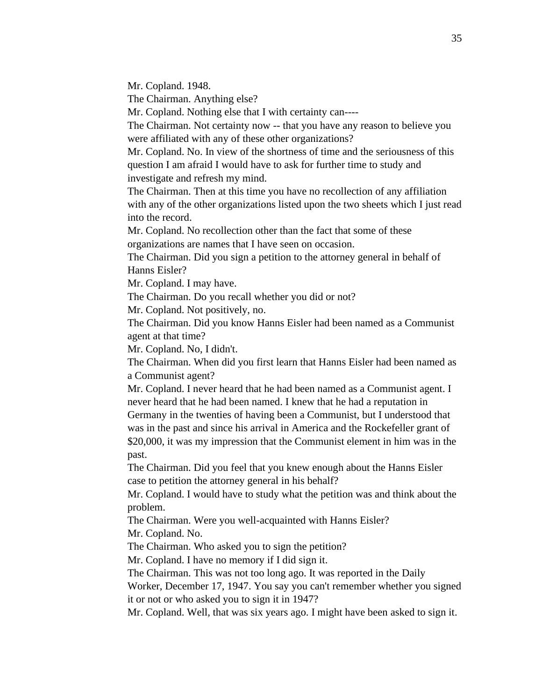Mr. Copland. 1948.

The Chairman. Anything else?

Mr. Copland. Nothing else that I with certainty can----

The Chairman. Not certainty now -- that you have any reason to believe you were affiliated with any of these other organizations?

Mr. Copland. No. In view of the shortness of time and the seriousness of this question I am afraid I would have to ask for further time to study and investigate and refresh my mind.

The Chairman. Then at this time you have no recollection of any affiliation with any of the other organizations listed upon the two sheets which I just read into the record.

Mr. Copland. No recollection other than the fact that some of these organizations are names that I have seen on occasion.

The Chairman. Did you sign a petition to the attorney general in behalf of Hanns Eisler?

Mr. Copland. I may have.

The Chairman. Do you recall whether you did or not?

Mr. Copland. Not positively, no.

The Chairman. Did you know Hanns Eisler had been named as a Communist agent at that time?

Mr. Copland. No, I didn't.

The Chairman. When did you first learn that Hanns Eisler had been named as a Communist agent?

Mr. Copland. I never heard that he had been named as a Communist agent. I never heard that he had been named. I knew that he had a reputation in

Germany in the twenties of having been a Communist, but I understood that was in the past and since his arrival in America and the Rockefeller grant of \$20,000, it was my impression that the Communist element in him was in the past.

The Chairman. Did you feel that you knew enough about the Hanns Eisler case to petition the attorney general in his behalf?

Mr. Copland. I would have to study what the petition was and think about the problem.

The Chairman. Were you well-acquainted with Hanns Eisler?

Mr. Copland. No.

The Chairman. Who asked you to sign the petition?

Mr. Copland. I have no memory if I did sign it.

The Chairman. This was not too long ago. It was reported in the Daily

Worker, December 17, 1947. You say you can't remember whether you signed it or not or who asked you to sign it in 1947?

Mr. Copland. Well, that was six years ago. I might have been asked to sign it.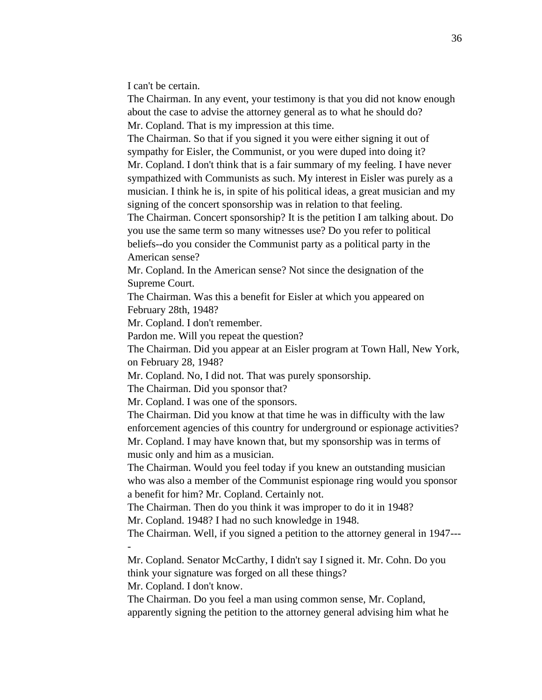I can't be certain.

The Chairman. In any event, your testimony is that you did not know enough about the case to advise the attorney general as to what he should do? Mr. Copland. That is my impression at this time.

The Chairman. So that if you signed it you were either signing it out of sympathy for Eisler, the Communist, or you were duped into doing it? Mr. Copland. I don't think that is a fair summary of my feeling. I have never

sympathized with Communists as such. My interest in Eisler was purely as a musician. I think he is, in spite of his political ideas, a great musician and my signing of the concert sponsorship was in relation to that feeling.

The Chairman. Concert sponsorship? It is the petition I am talking about. Do you use the same term so many witnesses use? Do you refer to political beliefs--do you consider the Communist party as a political party in the American sense?

Mr. Copland. In the American sense? Not since the designation of the Supreme Court.

The Chairman. Was this a benefit for Eisler at which you appeared on February 28th, 1948?

Mr. Copland. I don't remember.

Pardon me. Will you repeat the question?

The Chairman. Did you appear at an Eisler program at Town Hall, New York, on February 28, 1948?

Mr. Copland. No, I did not. That was purely sponsorship.

The Chairman. Did you sponsor that?

Mr. Copland. I was one of the sponsors.

The Chairman. Did you know at that time he was in difficulty with the law enforcement agencies of this country for underground or espionage activities? Mr. Copland. I may have known that, but my sponsorship was in terms of music only and him as a musician.

The Chairman. Would you feel today if you knew an outstanding musician who was also a member of the Communist espionage ring would you sponsor a benefit for him? Mr. Copland. Certainly not.

The Chairman. Then do you think it was improper to do it in 1948? Mr. Copland. 1948? I had no such knowledge in 1948.

The Chairman. Well, if you signed a petition to the attorney general in 1947--- -

Mr. Copland. Senator McCarthy, I didn't say I signed it. Mr. Cohn. Do you think your signature was forged on all these things?

Mr. Copland. I don't know.

The Chairman. Do you feel a man using common sense, Mr. Copland, apparently signing the petition to the attorney general advising him what he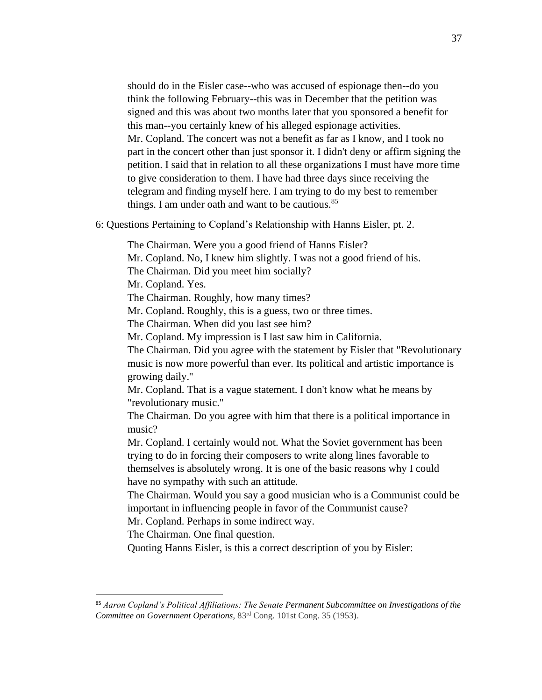should do in the Eisler case--who was accused of espionage then--do you think the following February--this was in December that the petition was signed and this was about two months later that you sponsored a benefit for this man--you certainly knew of his alleged espionage activities. Mr. Copland. The concert was not a benefit as far as I know, and I took no part in the concert other than just sponsor it. I didn't deny or affirm signing the petition. I said that in relation to all these organizations I must have more time to give consideration to them. I have had three days since receiving the telegram and finding myself here. I am trying to do my best to remember things. I am under oath and want to be cautious.<sup>85</sup>

6: Questions Pertaining to Copland's Relationship with Hanns Eisler, pt. 2.

The Chairman. Were you a good friend of Hanns Eisler? Mr. Copland. No, I knew him slightly. I was not a good friend of his. The Chairman. Did you meet him socially? Mr. Copland. Yes. The Chairman. Roughly, how many times? Mr. Copland. Roughly, this is a guess, two or three times. The Chairman. When did you last see him? Mr. Copland. My impression is I last saw him in California. The Chairman. Did you agree with the statement by Eisler that "Revolutionary music is now more powerful than ever. Its political and artistic importance is growing daily.'' Mr. Copland. That is a vague statement. I don't know what he means by "revolutionary music.'' The Chairman. Do you agree with him that there is a political importance in music? Mr. Copland. I certainly would not. What the Soviet government has been trying to do in forcing their composers to write along lines favorable to themselves is absolutely wrong. It is one of the basic reasons why I could have no sympathy with such an attitude. The Chairman. Would you say a good musician who is a Communist could be important in influencing people in favor of the Communist cause? Mr. Copland. Perhaps in some indirect way. The Chairman. One final question. Quoting Hanns Eisler, is this a correct description of you by Eisler:

<sup>85</sup> *Aaron Copland's Political Affiliations: The Senate Permanent Subcommittee on Investigations of the Committee on Government Operations*, 83rd Cong. 101st Cong. 35 (1953).